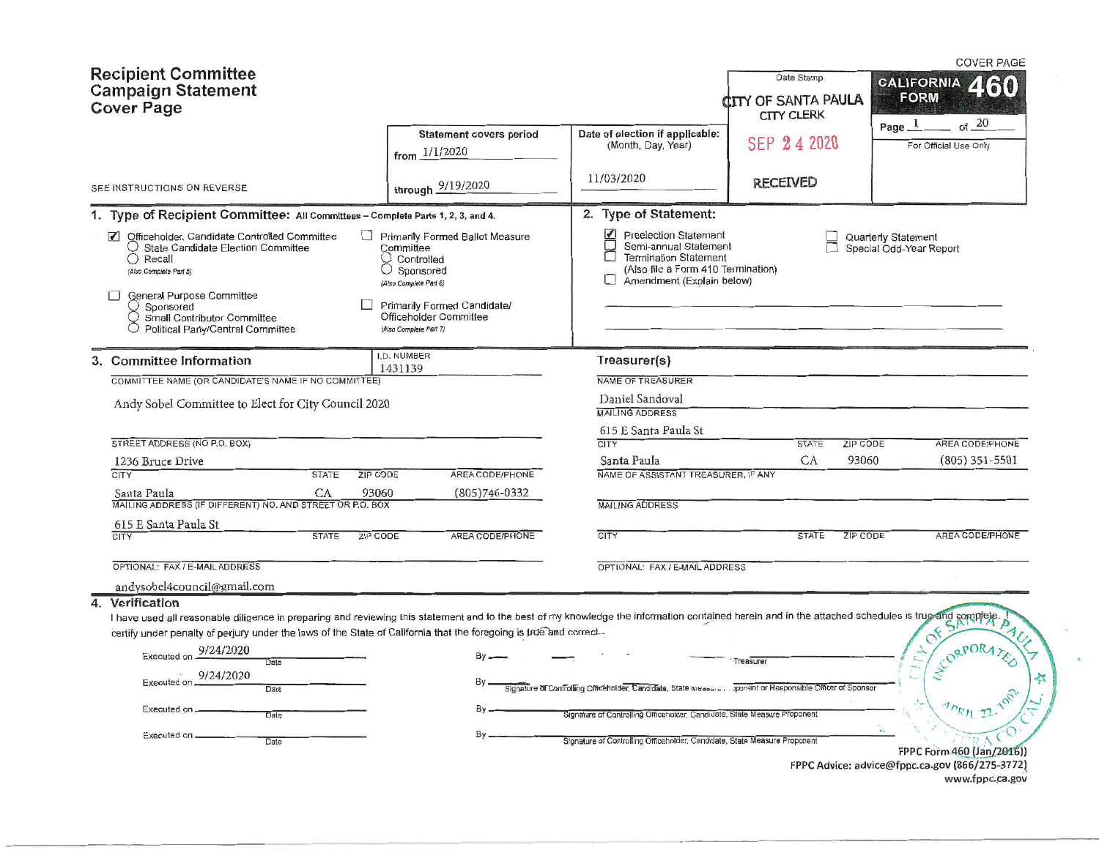| <b>Recipient Committee</b><br><b>Campaign Statement</b><br><b>Cover Page</b>                                                                                                                                                                                                                                                                                                                                                                   |                                                                                                                                                                                        |                                                                                                                                                               | Date Stamp<br><b>CITY OF SANTA PAULA</b><br>CITY CLERK | <b>COVER PAGE</b><br><b>CALIFORNIA</b><br><b>FORM</b><br>ot 20                                 |
|------------------------------------------------------------------------------------------------------------------------------------------------------------------------------------------------------------------------------------------------------------------------------------------------------------------------------------------------------------------------------------------------------------------------------------------------|----------------------------------------------------------------------------------------------------------------------------------------------------------------------------------------|---------------------------------------------------------------------------------------------------------------------------------------------------------------|--------------------------------------------------------|------------------------------------------------------------------------------------------------|
|                                                                                                                                                                                                                                                                                                                                                                                                                                                | Statement covers period<br>from $1/1/2020$                                                                                                                                             | Date of election if applicable:<br>(Month, Day, Year)                                                                                                         | SEP 24 2020                                            | Page $_{-}1$<br>For Official Use Only                                                          |
| SEE INSTRUCTIONS ON REVERSE                                                                                                                                                                                                                                                                                                                                                                                                                    | through 9/19/2020                                                                                                                                                                      | 11/03/2020                                                                                                                                                    | <b>RECEIVED</b>                                        |                                                                                                |
| 1. Type of Recipient Committee: All Committees - Complete Parts 1, 2, 3, and 4.                                                                                                                                                                                                                                                                                                                                                                |                                                                                                                                                                                        | 2. Type of Statement:                                                                                                                                         |                                                        |                                                                                                |
| Officeholder, Candidate Controlled Committee<br>$\sqrt{ }$<br>$\bigcirc$ State Candidate Election Committee<br>$\bigcirc$ Recall<br>(Also Complete Part 5)<br><b>General Purpose Committee</b><br>Sponsored<br>Small Contributor Committee<br>Political Party/Central Committee                                                                                                                                                                | Primarily Formed Ballot Measure<br>Committee<br>Controlled<br>O Sponsored<br>(Also Complete Part 6)<br>Primarily Formed Candidate/<br>Officeholder Committee<br>(Also Complete Part 7) | <b>Preelection Statement</b><br>☑<br>Semi-annual Statement<br><b>Termination Statement</b><br>(Also file a Form 410 Termination)<br>Amendment (Explain below) |                                                        | <b>Quarterly Statement</b><br>Special Odd-Year Report                                          |
| 3. Committee Information                                                                                                                                                                                                                                                                                                                                                                                                                       | I.D. NUMBER                                                                                                                                                                            | Treasurer(s)                                                                                                                                                  |                                                        |                                                                                                |
| COMMITTEE NAME (OR CANDIDATE'S NAME IF NO COMMITTEE)                                                                                                                                                                                                                                                                                                                                                                                           | 1431139                                                                                                                                                                                | NAME OF TREASURER                                                                                                                                             |                                                        |                                                                                                |
| Andy Sobel Committee to Elect for City Council 2020                                                                                                                                                                                                                                                                                                                                                                                            |                                                                                                                                                                                        | Daniel Sandoval<br><b>MAILING ADDRESS</b>                                                                                                                     |                                                        |                                                                                                |
| STREET ADDRESS (NO P.O. BOX)                                                                                                                                                                                                                                                                                                                                                                                                                   |                                                                                                                                                                                        | 615 E Santa Paula St<br><b>CITY</b>                                                                                                                           | ZIP CODE<br><b>STATE</b>                               | AREA CODE/PHONE                                                                                |
| 1236 Bruce Drive                                                                                                                                                                                                                                                                                                                                                                                                                               |                                                                                                                                                                                        | Santa Paula                                                                                                                                                   | CA<br>93060                                            | $(805)$ 351-5501                                                                               |
| <b>CITY</b><br><b>ZIP CODE</b><br><b>STATE</b>                                                                                                                                                                                                                                                                                                                                                                                                 | AREA CODE/PHONE                                                                                                                                                                        | NAME OF ASSISTANT TREASURER, IF ANY                                                                                                                           |                                                        |                                                                                                |
| CA<br>93060<br>Santa Paula<br>MAILING ADDRESS (IF DIFFERENT) NO. AND STREET OR P.O. BOX                                                                                                                                                                                                                                                                                                                                                        | $(805)746-0332$                                                                                                                                                                        | <b>MAILING ADDRESS</b>                                                                                                                                        |                                                        |                                                                                                |
| 615 E Santa Paula St<br>ZIP CODE<br><b>STATE</b><br><b>CITY</b>                                                                                                                                                                                                                                                                                                                                                                                | AREA CODE/PHONE                                                                                                                                                                        | CITY                                                                                                                                                          | <b>STATE</b><br>ZIP CODE                               | AREA CODE/PHONE                                                                                |
| OPTIONAL: FAX / E-MAIL ADDRESS                                                                                                                                                                                                                                                                                                                                                                                                                 |                                                                                                                                                                                        | OPTIONAL: FAX / E-MAIL ADDRESS                                                                                                                                |                                                        |                                                                                                |
| andysobel4council@gmail.com<br>4. Verification<br>I have used all reasonable diligence in preparing and reviewing this statement and to the best of my knowledge the information contained herein and in the attached schedules is true and complete<br>certify under penalty of perjury under the laws of the State of California that the foregoing is true and correct<br>Executed on 9/24/2020<br>Date<br>9/24/2020<br>Executed on<br>Date | By                                                                                                                                                                                     | Signature of Controlling Officeholder, Candidate, State Misasure ponent or Responsible Officer of Spons                                                       | Treasurer                                              |                                                                                                |
| Executed on<br>Date<br>Executed on                                                                                                                                                                                                                                                                                                                                                                                                             |                                                                                                                                                                                        | Signature of Controlling Officeholder, Candidate, State Measure Proponent<br>Signature of Controlling Officeholder, Candidate, State Measure Proponent        |                                                        |                                                                                                |
| Date                                                                                                                                                                                                                                                                                                                                                                                                                                           |                                                                                                                                                                                        |                                                                                                                                                               |                                                        | FPPC Form 460 (Jan/2016))<br>FPPC Advice: advice@fppc.ca.gov (866/275-3772)<br>www.fppc.ca.gov |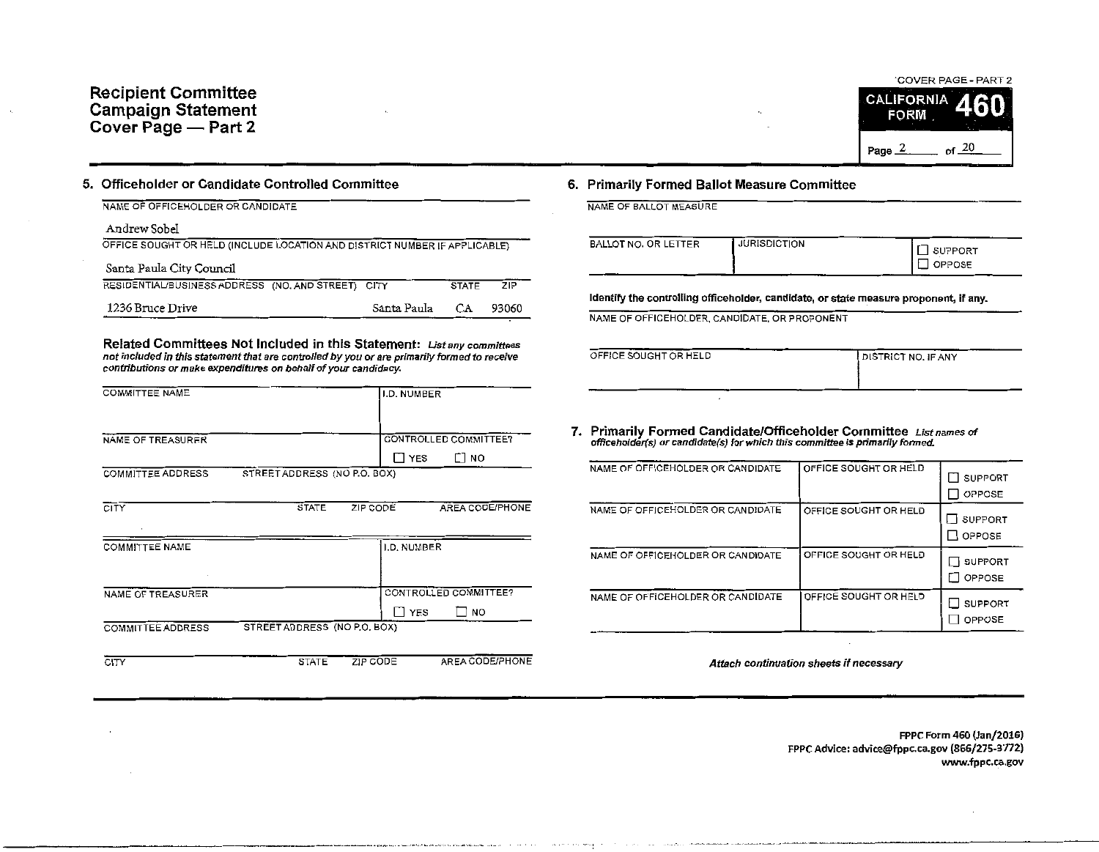

#### S. Officeholder or Candidate Controlled Committee

|  | NAME OF OFFICEHOLDER OR CANDIDATE |
|--|-----------------------------------|
|  |                                   |

#### Andrew Sobel

| OFFICE SOUGHT OR HELD (INCLUDE LOCATION AND DISTRICT NUMBER IF APPLICABLE) |             |              |       |  |
|----------------------------------------------------------------------------|-------------|--------------|-------|--|
| Santa Paula City Council                                                   |             |              |       |  |
| RESIDENTIAL/BUSINESS ADDRESS (NO. AND STREET) CITY                         |             | <b>STATE</b> | 7IP   |  |
| 1236 Bruce Drive                                                           | Santa Paula | CA.          | 93060 |  |

Related Committees Not Included in this Statement: *List any committees* not included in this statement that are controlled by you or are primarily formed to receive contributions or make expenditures on behalf of your candidacy.

| <b>COMMITTEE NAME</b>    |                              | I.D. NUMBER     |                       |
|--------------------------|------------------------------|-----------------|-----------------------|
|                          |                              |                 |                       |
| NAME OF TREASURER        |                              |                 | CONTROLLED COMMITTEE? |
|                          |                              | ∐ YES           | $\Box$ No             |
| <b>COMMITTEE ADDRESS</b> | STREET ADDRESS (NO P.O. BOX) |                 |                       |
|                          |                              |                 |                       |
| <b>CITY</b>              | <b>STATE</b>                 | ZIP CODE        | AREA CODE/PHONE       |
|                          |                              |                 |                       |
| <b>COMMITTEE NAME</b>    |                              | I.D. NUMBER     |                       |
|                          |                              |                 |                       |
|                          |                              |                 |                       |
| NAME OF TREASURER        |                              |                 | CONTROLLED COMMITTEE? |
|                          |                              | TI YES          | ו NO                  |
| <b>COMMITTEE ADDRESS</b> | STREET ADDRESS (NO P.O. BOX) |                 |                       |
|                          |                              |                 |                       |
| CITY                     | <b>STATE</b>                 | <b>ZIP CODE</b> | AREA CODE/PHONE       |

## 6. Primarily Formed Ballot Measure Committee

| NAME OF BALLOT MEASURE |  |  |  |
|------------------------|--|--|--|

| <b>JURISDICTION</b>  | SUPPORT |
|----------------------|---------|
| BALLOT NO. OR LETTER | OPPOSE  |

Identify the controlling offlceholder, candidate, or state measure proponent, if any.

NAME OF OFFICEHOLDER, CANDIDATE, OR PROPONENT

| OFFICE SOUGHT OR HELD | <b>DISTRICT NO. IF ANY</b> |
|-----------------------|----------------------------|
|                       |                            |

7. Primarily Formed Candidate/Officeholder Committee List names of offlceholder(s) or candidate(s) for which this committee is primarily fanned.

| NAME OF OFFICEHOLDER OR CANDIDATE | OFFICE SOUGHT OR HELD | <b>SUPPORT</b><br>OPPOSE        |
|-----------------------------------|-----------------------|---------------------------------|
| NAME OF OFFICEHOLDER OR CANDIDATE | OFFICE SOUGHT OR HELD | SUPPORT<br>OPPOSE               |
| NAME OF OFFICEHOLDER OR CANDIDATE | OFFICE SOUGHT OR HELD | <b>SUPPORT</b><br>- 1<br>OPPOSE |
| NAME OF OFFICEHOLDER OR CANDIDATE | OFFICE SOUGHT OR HELD | <b>SUPPORT</b><br>OPPOSE        |

Attach continuation sheets if necessary

FPPC Form 460 {Jan/2016) FPPCAdvice: advice@fppc.ca.gov (866/275-3772) www.fppc.ca.gov

--····-·····---·------------------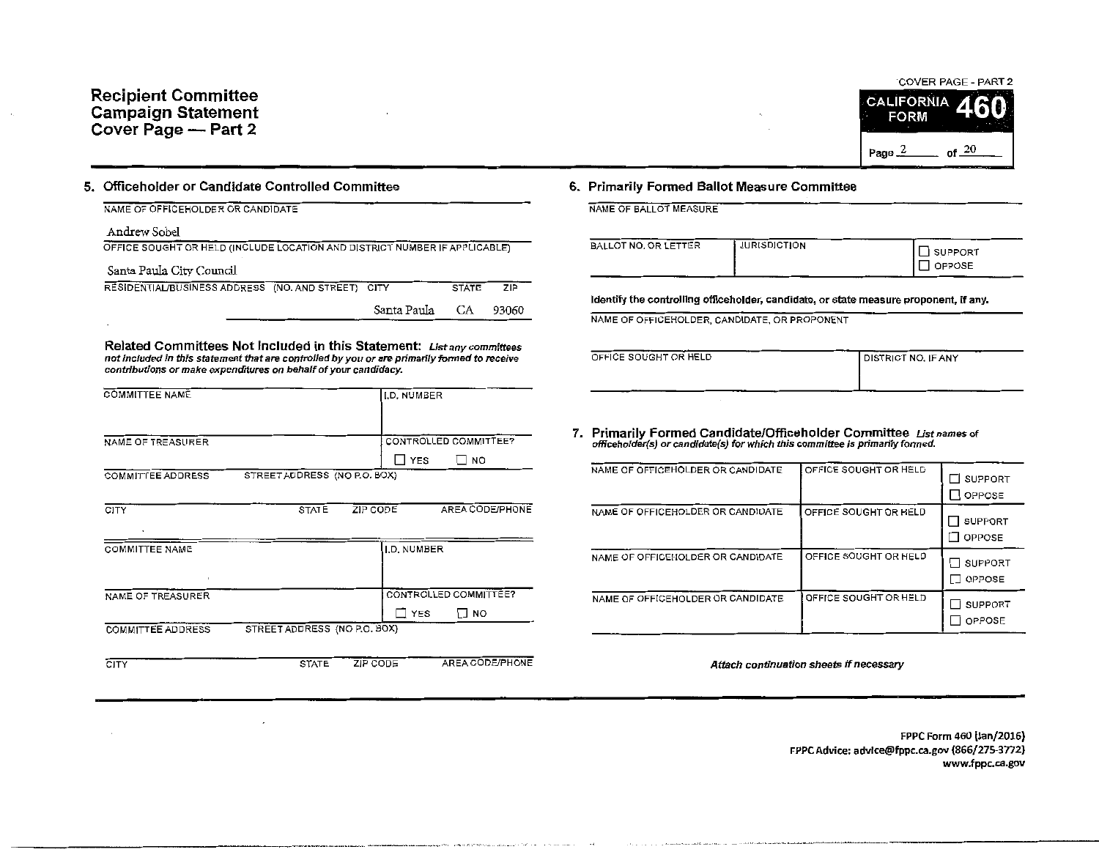

## 5. Officeholder or Candidate Controlled Committee

| NAME OF OFFICEHOLDER OR CANDIDATE                                          |             |              |       |
|----------------------------------------------------------------------------|-------------|--------------|-------|
| Andrew Sobel                                                               |             |              |       |
| OFFICE SOUGHT OR HELD (INCLUDE LOCATION AND DISTRICT NUMBER IF APPLICABLE) |             |              |       |
| Santa Paula City Council                                                   |             |              |       |
| RESIDENTIAL/BUSINESS ADDRESS (NO. AND STREET) CITY                         |             | <b>STATE</b> | ZIP   |
|                                                                            | Santa Paula | СA           | 93060 |

Related Committees Not Included in this Statement: List *any committees*  not included in this statement that are controlled by you or are primarily formed to receive contributions or make expenditures on behalf of your candidacy.

| <b>COMMITTEE NAME</b>    |                              |          | I.D. NUMBER        |                       |
|--------------------------|------------------------------|----------|--------------------|-----------------------|
|                          |                              |          |                    |                       |
| NAME OF TREASURER        |                              |          |                    | CONTROLLED COMMITTEE? |
|                          |                              |          | ן YES              | <b>NO</b>             |
| <b>COMMITTEE ADDRESS</b> | STREET ADDRESS (NO P.O. BOX) |          |                    |                       |
|                          |                              |          |                    |                       |
| CITY                     | <b>STATE</b>                 | ZIP CODE |                    | AREA CODE/PHONE       |
|                          |                              |          |                    |                       |
| <b>COMMITTEE NAME</b>    |                              |          | <b>I.D. NUMBER</b> |                       |
|                          |                              |          |                    |                       |
| NAME OF TREASURER        |                              |          |                    | CONTROLLED COMMITTEE? |
|                          |                              |          | $\square$ YES      | $\Box$ No             |
| <b>COMMITTEE ADDRESS</b> | STREET ADDRESS (NO P.O. BOX) |          |                    |                       |
|                          |                              |          |                    |                       |
| CITY                     | <b>STATE</b>                 | ZIP CODE |                    | AREA CODE/PHONE       |

### 6. Primarily Formed Ballot Measure Committee

NAME OF BALLOT MEASURE

| BALLOT NO. OR LETTER | <b>JURISDICTION</b> | <b>SUPPORT</b><br>OPPOSE |
|----------------------|---------------------|--------------------------|
|                      |                     |                          |

Identify the controlling officeholder, candidate, or state measure proponent, if any.

NAME OF OFFICEHOLDER, CANDIDATE, OR PROPONENT

| OFFICE SOUGHT OR HELD | DISTRICT NO, IF ANY |
|-----------------------|---------------------|
|                       |                     |

7. Primarily Formed Candidate/Officeholder Committee Ust names of offlcehofder(s) or candidate(s) for which this committee is primarily formed.

| NAME OF OFFICEHOLDER OR CANDIDATE | OFFICE SOUGHT OR HELD | <b>SUPPORT</b><br>OPPOSE<br>- 1 |
|-----------------------------------|-----------------------|---------------------------------|
| NAME OF OFFICEHOLDER OR CANDIDATE | OFFICE SOUGHT OR HELD | <b>SUPPORT</b><br><b>OPPOSE</b> |
| NAME OF OFFICEHOLDER OR CANDIDATE | OFFICE SOUGHT OR HELD | SUPPORT<br>OPPOSE               |
| NAME OF OFFICEHOLDER OR CANDIDATE | OFFICE SOUGHT OR HELD | SUPPORT<br>OPPOSE               |

Attach continuation sheets if necessary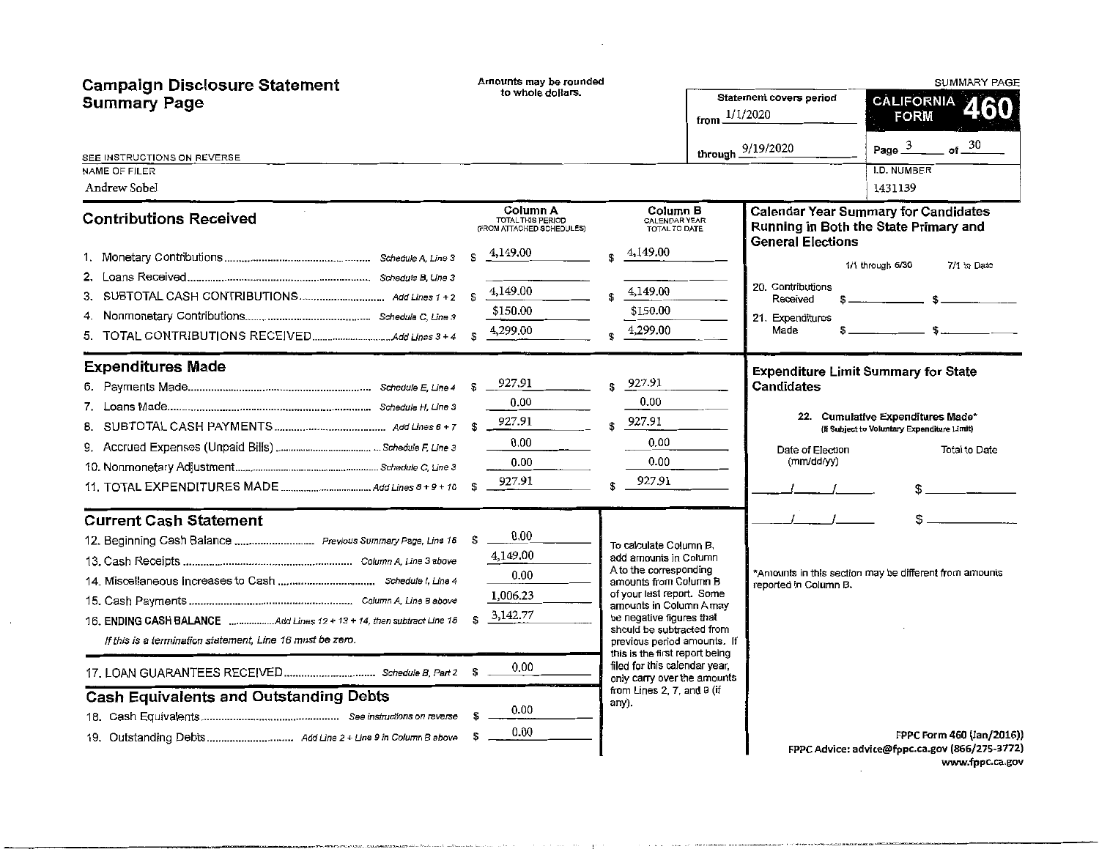| <b>Campaign Disclosure Statement</b><br><b>Summary Page</b>                                                                                                                                                                                                                                                                                       | Amounts may be rounded<br>to whole dollars.<br>from $1/1/2020$                                                         |                                                                                                                                                                                                                                                                                                                                                                                             |                   | Statement covers period                                                                                | <b>SUMMARY PAGE</b><br>CALIFORNIA 4<br><b>FORM</b>                                                                                                                                                                                                                                                                                                                                                                                                                       |
|---------------------------------------------------------------------------------------------------------------------------------------------------------------------------------------------------------------------------------------------------------------------------------------------------------------------------------------------------|------------------------------------------------------------------------------------------------------------------------|---------------------------------------------------------------------------------------------------------------------------------------------------------------------------------------------------------------------------------------------------------------------------------------------------------------------------------------------------------------------------------------------|-------------------|--------------------------------------------------------------------------------------------------------|--------------------------------------------------------------------------------------------------------------------------------------------------------------------------------------------------------------------------------------------------------------------------------------------------------------------------------------------------------------------------------------------------------------------------------------------------------------------------|
| SEE INSTRUCTIONS ON REVERSE<br>NAME OF FILER<br>Andrew Sobel                                                                                                                                                                                                                                                                                      |                                                                                                                        |                                                                                                                                                                                                                                                                                                                                                                                             | through 9/19/2020 |                                                                                                        | of $-30$<br>Page $3$<br><b>I.D. NUMBER</b><br>1431139                                                                                                                                                                                                                                                                                                                                                                                                                    |
| <b>Contributions Received</b>                                                                                                                                                                                                                                                                                                                     | Column A<br>TOTAL THIS PERIOD<br>(FROM ATTACHED SCHEDULES)<br>4,149.00<br>S.<br>4,149.00<br>£.<br>\$150.00<br>4,299.00 | Column B<br>CALENDAR YEAR<br>TOTAL TO DATE<br>4,149.00<br>4,149.00<br>\$150.00<br>4,299.00                                                                                                                                                                                                                                                                                                  |                   | <b>General Elections</b><br>20. Contributions<br>Received<br>21. Expenditures<br>Made<br>$\mathbf 5$ . | <b>Calendar Year Summary for Candidates</b><br>Running in Both the State Primary and<br>1/1 through 6/30<br>7/1 to Date<br>$\mathbf{s}$<br>$\overline{\text{S}}$ . The set of $\overline{\text{S}}$ . The set of $\overline{\text{S}}$ , and the set of $\overline{\text{S}}$ , and the set of $\overline{\text{S}}$ , and the set of $\overline{\text{S}}$ , and the set of $\overline{\text{S}}$ , and the set of $\overline{\text{S}}$ , and the set of $\overline{\$ |
| <b>Expenditures Made</b>                                                                                                                                                                                                                                                                                                                          | 927.91<br>S<br>0.00<br>927.91<br>\$<br>0.00<br>0.00<br>927.91<br>$\mathbf{s}$                                          | 927.91<br>0.00<br>$$^{927.91}$<br>0.00<br>0.00<br>927.91                                                                                                                                                                                                                                                                                                                                    |                   | <b>Expenditure Limit Summary for State</b><br>Candidates<br>Date of Election<br>(mm/dd/yy)             | 22. Cumulative Expenditures Made*<br>(If Subject to Voluntary Expenditure Limit)<br>Total to Date                                                                                                                                                                                                                                                                                                                                                                        |
| <b>Current Cash Statement</b><br>12. Beginning Cash Balance  Previous Summary Page, Line 16<br>16. ENDING CASH BALANCE Add Lines 12 + 13 + 14, then subtract Line 15<br>If this is a termination statement, Line 16 must be zero.<br><b>Cash Equivalents and Outstanding Debts</b><br>19. Outstanding Debts Add Line 2 + Line 9 in Column B above | 0.00<br>- \$<br>4,149,00<br>0.00<br>1,006.23<br>3,142.77<br>\$.<br>0.00<br>0.00<br>0.00                                | To calculate Column B,<br>add amounts in Column<br>A to the corresponding<br>amounts from Column B<br>of your last report. Some<br>amounts in Column A may<br>be negative figures that<br>should be subtracted from<br>previous period amounts. If<br>this is the first report being<br>filed for this calendar year,<br>only carry over the amounts<br>from Lines 2, 7, and 9 (if<br>апу). |                   | reported in Column B.                                                                                  | \$.<br>*Amounts in this section may be different from amounts<br>FPPC Form 460 (Jan/2016))                                                                                                                                                                                                                                                                                                                                                                               |
|                                                                                                                                                                                                                                                                                                                                                   |                                                                                                                        |                                                                                                                                                                                                                                                                                                                                                                                             |                   |                                                                                                        | FPPC Advice: advice@fppc.ca.gov (866/275-3772)                                                                                                                                                                                                                                                                                                                                                                                                                           |

 $\cdot$ 

 $\sim$ 

www.fppc.ca.gov

 $\label{eq:2.1} \frac{1}{\sqrt{2\pi}}\int_{0}^{\infty} \frac{1}{\sqrt{2\pi}}\left(\frac{1}{\sqrt{2\pi}}\right)^{2} \frac{1}{\sqrt{2\pi}}\int_{0}^{\infty} \frac{1}{\sqrt{2\pi}}\left(\frac{1}{\sqrt{2\pi}}\right)^{2} \frac{1}{\sqrt{2\pi}}\int_{0}^{\infty} \frac{1}{\sqrt{2\pi}}\frac{1}{\sqrt{2\pi}}\frac{1}{\sqrt{2\pi}}\frac{1}{\sqrt{2\pi}}\frac{1}{\sqrt{2\pi}}\frac{1}{\sqrt{2\pi}}\frac{1}{\sqrt{2$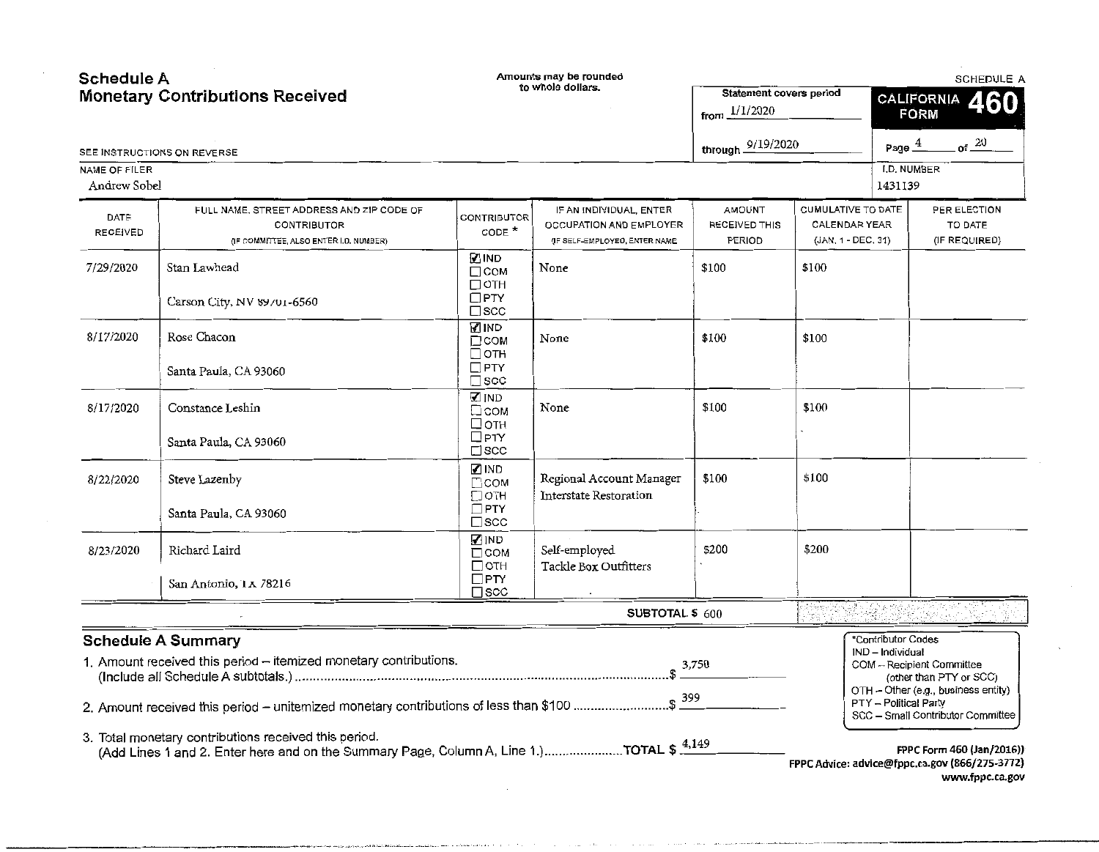| Schedule A      |                                                                                                                                                   |                                                 | Amounts may be rounded                             |                         |                           |                       | <b>SCHEDULE A</b>                                                           |
|-----------------|---------------------------------------------------------------------------------------------------------------------------------------------------|-------------------------------------------------|----------------------------------------------------|-------------------------|---------------------------|-----------------------|-----------------------------------------------------------------------------|
|                 | <b>Monetary Contributions Received</b>                                                                                                            |                                                 | to whole dollars.                                  | Statement covers period |                           |                       | CALIFORNIA 460                                                              |
|                 |                                                                                                                                                   |                                                 |                                                    | from $1/1/2020$         |                           |                       | <b>FORM</b>                                                                 |
|                 | SEE INSTRUCTIONS ON REVERSE                                                                                                                       |                                                 |                                                    | through 9/19/2020       |                           | Page $4$              | $ot$ 20                                                                     |
| NAME OF FILER   |                                                                                                                                                   |                                                 |                                                    |                         |                           | I.D. NUMBER           |                                                                             |
| Andrew Sobel    |                                                                                                                                                   |                                                 |                                                    |                         |                           | 1431139               |                                                                             |
|                 | FULL NAME, STREET ADDRESS AND ZIP CODE OF                                                                                                         |                                                 | IF AN INDIVIDUAL, ENTER                            | <b>AMOUNT</b>           | <b>CUMULATIVE TO DATE</b> |                       | PER ELECTION                                                                |
| DATE            | CONTRIBUTOR                                                                                                                                       | CONTRIBUTOR<br>CODE $*$                         | OCCUPATION AND EMPLOYER                            | RECEIVED THIS           | CALENDAR YEAR             |                       | TO DATE                                                                     |
| <b>RECEIVED</b> | (IF COMMITTEE, ALSO ENTER I.D. NUMBER)                                                                                                            |                                                 | (IF SELF-EMPLOYED, ENTER NAME                      | PERIOD                  | (JAN. 1 - DEC. 31)        |                       | (IF REQUIRED)                                                               |
| 7/29/2020       | Stan Lawhead                                                                                                                                      | MIND⊡<br>$\Box$ COM                             | None                                               | \$100                   | \$100                     |                       |                                                                             |
|                 | Carson City, NV 89/01-6560                                                                                                                        | $\square$ OTH<br>$\square$ PTY<br>$\square$ scc |                                                    |                         |                           |                       |                                                                             |
| 8/17/2020       | Rose Chacon                                                                                                                                       | <b>VIND</b><br>$\Box$ COM<br>$\Box$ OTH         | None                                               | \$100                   | \$100                     |                       |                                                                             |
|                 | Santa Paula, CA 93060                                                                                                                             | $\Box$ PTY<br>$\square$ scc                     |                                                    |                         |                           |                       |                                                                             |
| 8/17/2020       | Constance Leshin                                                                                                                                  | <b>MIND</b><br>□сом<br>□отн                     | None                                               | \$100                   | \$100                     |                       |                                                                             |
|                 | Santa Paula, CA 93060                                                                                                                             | $\Box$ PTY<br>$\square$ scc                     |                                                    |                         |                           |                       |                                                                             |
| 8/22/2020       | Steve Lazenby                                                                                                                                     | <b>MIND</b><br>$\Box$ COM<br>□отн               | Regional Account Manager<br>Interstate Restoration | \$100                   | \$100                     |                       |                                                                             |
|                 | Santa Paula, CA 93060                                                                                                                             | $\square$ PTY<br>$\square$ scc                  |                                                    |                         |                           |                       |                                                                             |
| 8/23/2020       | Richard Laird                                                                                                                                     | Z IND<br>$\Box$ COM<br>$\Box$ OTH               | Self-employed<br>Tackle Box Outfitters             | \$200                   | \$200                     |                       |                                                                             |
|                 | San Antonio, 1 x 78216                                                                                                                            | $\square$ PTY<br>$\square$ scc                  |                                                    |                         |                           |                       |                                                                             |
|                 |                                                                                                                                                   |                                                 | SUBTOTAL \$ 600                                    |                         |                           |                       |                                                                             |
|                 | <b>Schedule A Summary</b>                                                                                                                         |                                                 |                                                    |                         |                           | *Contributor Codes    |                                                                             |
|                 | 1. Amount received this period - itemized monetary contributions.                                                                                 |                                                 |                                                    |                         |                           | IND - Individual      | COM -- Recipient Committee<br>(other than PTY or SCC)                       |
|                 | 2. Amount received this period – unitemized monetary contributions of less than \$100 \$ 399                                                      |                                                 |                                                    |                         |                           | PTY - Political Party | OTH - Other (e.g., business entity)<br>SCC - Small Contributor Committee    |
|                 | 3. Total monetary contributions received this period.<br>(Add Lines 1 and 2. Enter here and on the Summary Page, Column A, Line 1.)TOTAL $$4,149$ |                                                 |                                                    |                         |                           |                       | FPPC Form 460 (Jan/2016))<br>FPPC Advice: advice@fppc.ca.gov (866/275-3772) |
|                 |                                                                                                                                                   |                                                 |                                                    |                         |                           |                       | www.fppc.ca.gov                                                             |

فستحقظ والمتعاد والتنابين والمستحدث والمراجع والمراجل الشرير والترابي والمنادي

 $\mathcal{N}$ 

 $\cdot$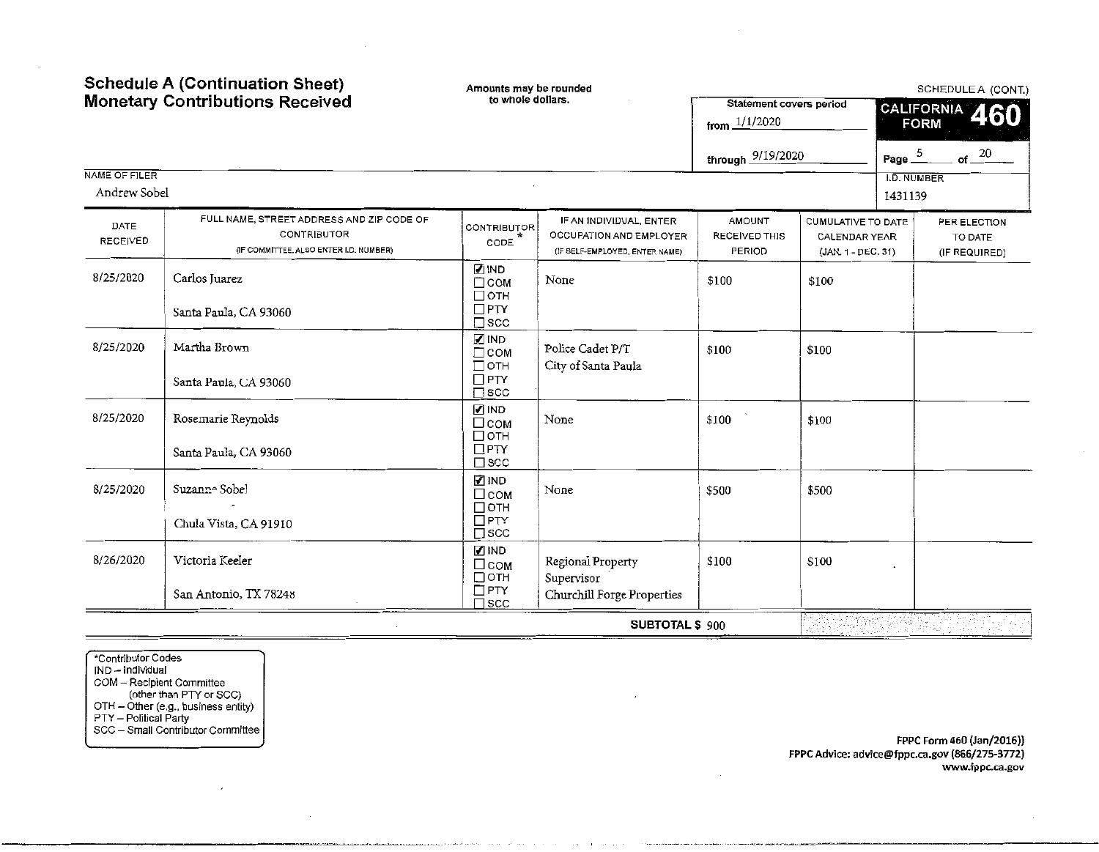|                               | <b>Schedule A (Continuation Sheet)</b><br><b>Monetary Contributions Received</b>                   | Amounts may be rounded<br>to whole dollars.             |                                                                                      | <b>Statement covers period</b>                  | SCHEDULE A (CONT.)                                               |                        |                                                 |
|-------------------------------|----------------------------------------------------------------------------------------------------|---------------------------------------------------------|--------------------------------------------------------------------------------------|-------------------------------------------------|------------------------------------------------------------------|------------------------|-------------------------------------------------|
|                               |                                                                                                    |                                                         |                                                                                      | from $1/1/2020$                                 |                                                                  |                        | CALIFORNIA 460<br><b>FORM</b>                   |
|                               |                                                                                                    |                                                         |                                                                                      | through 9/19/2020                               |                                                                  | Page $\frac{5}{2}$     | $of -\frac{20}{5}$                              |
| NAME OF FILER<br>Andrew Sobel |                                                                                                    |                                                         |                                                                                      |                                                 |                                                                  | I.D. NUMBER<br>1431139 |                                                 |
| DATE<br><b>RECEIVED</b>       | FULL NAME, STREET ADDRESS AND ZIP CODE OF<br>CONTRIBUTOR<br>(IF COMMITTEE, ALSO ENTER I.D. NUMBER) | <b>CONTRIBUTOR</b><br>CODE                              | IF AN INDIVIDUAL, ENTER<br>OCCUPATION AND EMPLOYER<br>(IF SELF-EMPLOYED, ENTER NAME) | <b>AMOUNT</b><br>RECEIVED THIS<br><b>PERIOD</b> | CUMULATIVE TO DATE<br><b>CALENDAR YEAR</b><br>(JAN. 1 - DEC. 31) |                        | PER ELECTION<br><b>TO DATE</b><br>(IF REQUIRED) |
| 8/25/2020                     | Carlos Juarez                                                                                      | <b>⊘</b> IND<br>$\Box$ COM<br>Потн<br>$\Box$ PTY        | None                                                                                 | \$100                                           | \$100                                                            |                        |                                                 |
|                               | Santa Paula, CA 93060                                                                              | $\square$ scc<br>$\mathbb Z$ IND                        |                                                                                      |                                                 |                                                                  |                        |                                                 |
| 8/25/2020                     | Martha Brown<br>Santa Paula, CA 93060                                                              | $\Box$ COM<br>$\Box$ OTH<br>$\Box$ PTY<br>$\square$ scc | Police Cadet P/T<br>City of Santa Paula                                              | \$100                                           | \$100                                                            |                        |                                                 |
| 8/25/2020                     | Rosemarie Reynolds                                                                                 | $\sqrt{ }$ IND<br>□сом<br>$\Box$ OTH                    | None                                                                                 | \$100                                           | \$100                                                            |                        |                                                 |
|                               | Santa Paula, CA 93060                                                                              | $\Box$ PTY<br>$\square$ scc                             |                                                                                      |                                                 |                                                                  |                        |                                                 |
| 8/25/2020                     | Suzanne Sobel                                                                                      | <b>ZIND</b><br>$\Box$ COM<br>$\Box$ OTH                 | None                                                                                 | \$500                                           | \$500                                                            |                        |                                                 |
|                               | Chula Vista, CA 91910                                                                              | $\Box$ PTY<br>$\square$ scc                             |                                                                                      |                                                 |                                                                  |                        |                                                 |
| 8/26/2020                     | Victoria Keeler                                                                                    | $\Box$ IND<br>$\Box$ COM<br>□отн                        | Regional Property<br>Supervisor                                                      | \$100                                           | \$100                                                            |                        |                                                 |
|                               | San Antonio, TX 78248                                                                              | $\Box$ PTY<br>∃scc                                      | Churchill Forge Properties                                                           |                                                 |                                                                  |                        |                                                 |
|                               |                                                                                                    |                                                         | SUBTOTAL \$900                                                                       |                                                 |                                                                  |                        |                                                 |

\*Contributor Codes IND – Individual COM - Recipient Committee (other than PTY or SCC} OTH - Other (e.g., business entity) PTY - Political Party SCC - Small Contributor Committee

---------------------------------·-·-·-----·-

 $\overline{\phantom{a}}$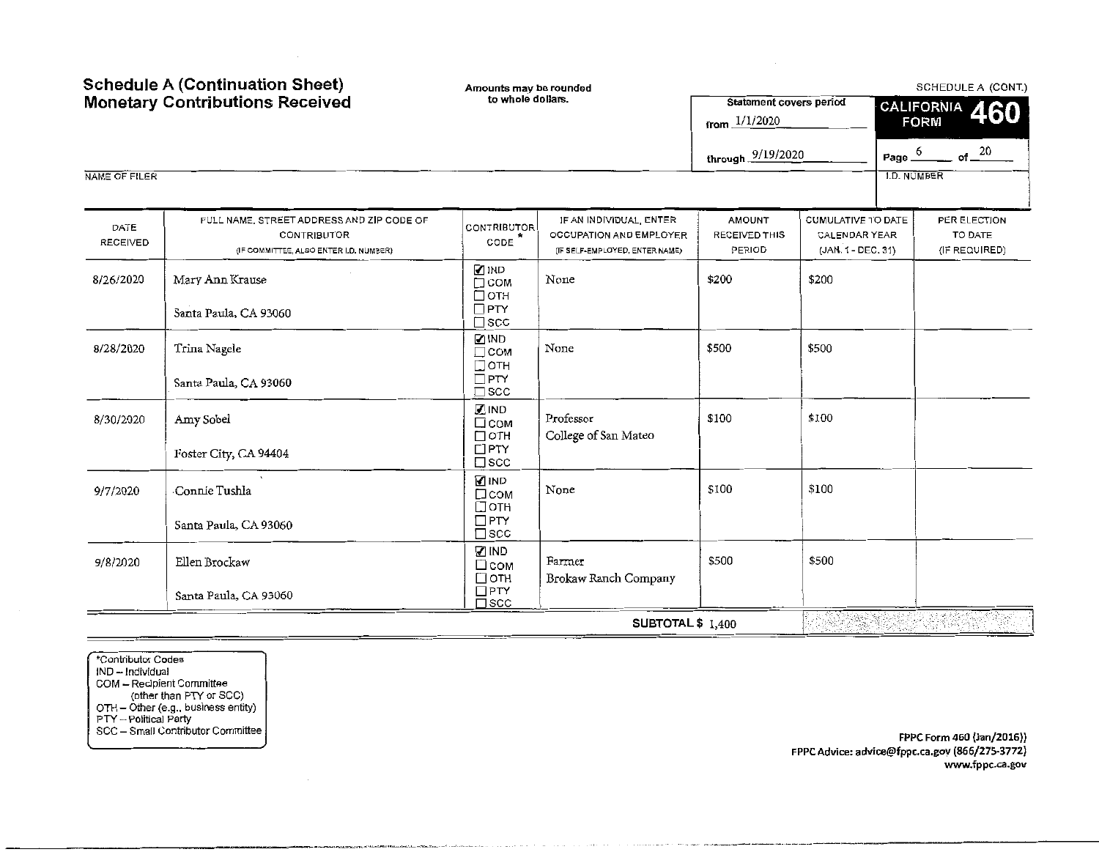| <b>Schedule A (Continuation Sheet)</b><br><b>Monetary Contributions Received</b> |                                                                                                          | Amounts may be rounded<br>to whole dollars.                            |                                                                                      | Statement covers period                  |                                                           | SCHEDULE A (CONT.)                       |  |  |
|----------------------------------------------------------------------------------|----------------------------------------------------------------------------------------------------------|------------------------------------------------------------------------|--------------------------------------------------------------------------------------|------------------------------------------|-----------------------------------------------------------|------------------------------------------|--|--|
|                                                                                  |                                                                                                          |                                                                        |                                                                                      | from $1/1/2020$                          |                                                           | CALIFORNIA 460<br><b>FORM</b>            |  |  |
|                                                                                  |                                                                                                          |                                                                        |                                                                                      | through 9/19/2020                        |                                                           | $of -20$<br>Page $6$                     |  |  |
| NAME OF FILER                                                                    |                                                                                                          |                                                                        |                                                                                      |                                          |                                                           | <b>I.D. NUMBER</b>                       |  |  |
| DATE<br><b>RECEIVED</b>                                                          | FULL NAME, STREET ADDRESS AND ZIP CODE OF<br><b>CONTRIBUTOR</b><br>(IF COMMITTEE, ALSO ENTER LD. NUMBER) | CONTRIBUTOR<br>$\texttt{CODE}$ <sup>*</sup>                            | IF AN INDIVIDUAL, ENTER<br>OCCUPATION AND EMPLOYER<br>(IF SELF-EMPLOYED, ENTER NAME) | <b>AMOUNT</b><br>RECEIVED THIS<br>PERIOD | CUMULATIVE TO DATE<br>CALENDAR YEAR<br>(JAN. 1 - DEC. 31) | PER ELECTION<br>TO DATE<br>(IF REQUIRED) |  |  |
| 8/26/2020                                                                        | Mary Ann Krause<br>Santa Paula, CA 93060                                                                 | <b>⊘</b> IND<br>$\Box$ COM<br>□отн<br>$\Box$ PTY                       | None                                                                                 | \$200                                    | \$200                                                     |                                          |  |  |
| 8/28/2020                                                                        | Trina Nagele                                                                                             | $\square$ scc<br><b>ZIND</b><br>$\Box$ COM<br>$\Box$ OTH<br>$\Box$ PTY | None                                                                                 | \$500                                    | \$500                                                     |                                          |  |  |
| 8/30/2020                                                                        | Santa Paula, CA 93060<br>Amy Sobel                                                                       | SCC<br><b>ZIND</b><br>$\square$ COM                                    | Professor                                                                            | \$100                                    | \$100                                                     |                                          |  |  |
|                                                                                  | Foster City, CA 94404                                                                                    | $\Box$ OTH<br>$\Box$ PTY<br>$\square$ scc                              | College of San Mateo                                                                 |                                          |                                                           |                                          |  |  |
| 9/7/2020                                                                         | Connie Tushla                                                                                            | <b>⊘IND</b><br>□сом<br>$\Box$ OTH<br>$\square$ PTY                     | None                                                                                 | \$100                                    | \$100                                                     |                                          |  |  |
| 9/8/2020                                                                         | Santa Paula, CA 93060<br>Ellen Brockaw                                                                   | $\square$ scc<br><b>√</b> IND<br>$\Box$ COM<br>□отн                    | Farmer<br>Brokaw Ranch Company                                                       | \$500                                    | \$500                                                     |                                          |  |  |
|                                                                                  | Santa Paula, CA 93060                                                                                    | $\Box$ PTY<br>$\square$ SCC                                            |                                                                                      |                                          |                                                           |                                          |  |  |
|                                                                                  |                                                                                                          |                                                                        | SUBTOTAL \$ 1,400                                                                    |                                          |                                                           |                                          |  |  |

.. ·--··------,.--

"'Contributor Codes IND - Individual COM - Recipient Committee (other than PTY or SCC) OTH - Other (e.g .. business entity) PTY - Political Party SCC - Small Contributor Committee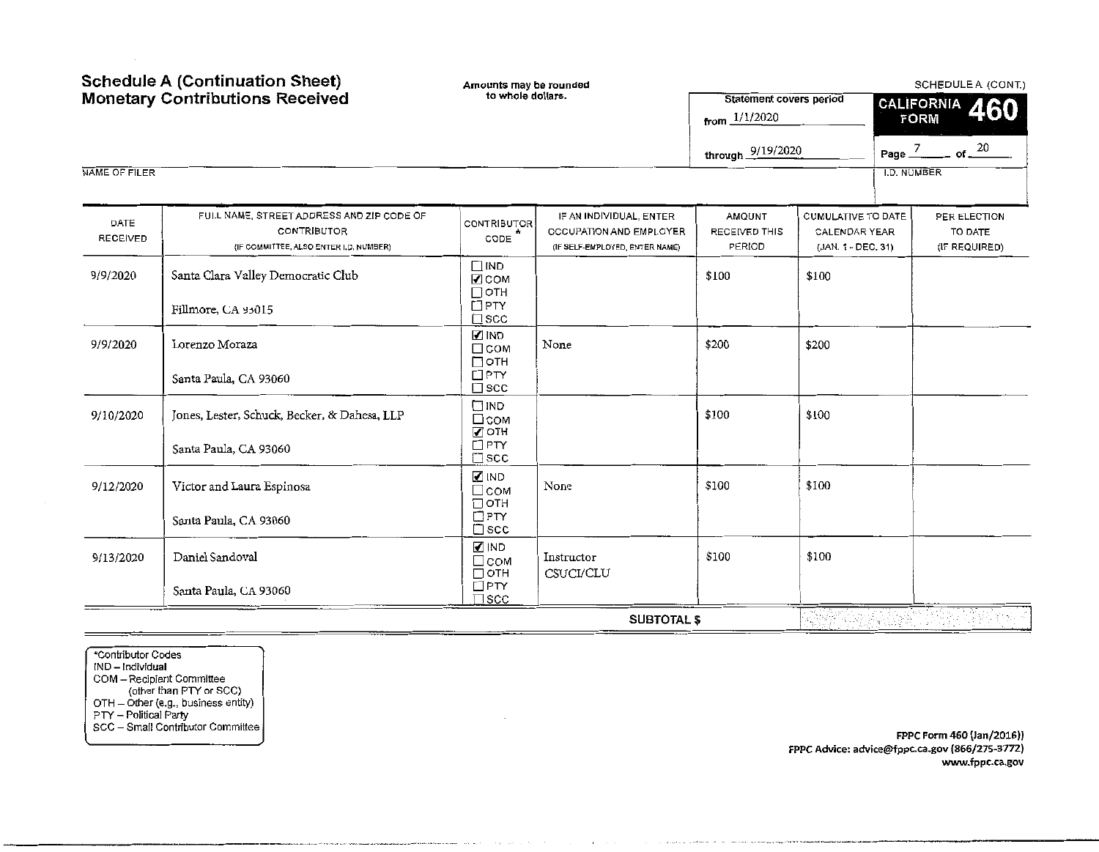| <b>Schedule A (Continuation Sheet)</b> |                                                                                                           | Amounts may be rounded                                |                                                                                      | SCHEDULE A (CONT.)                                |                                                                         |             |                                          |  |
|----------------------------------------|-----------------------------------------------------------------------------------------------------------|-------------------------------------------------------|--------------------------------------------------------------------------------------|---------------------------------------------------|-------------------------------------------------------------------------|-------------|------------------------------------------|--|
|                                        | <b>Monetary Contributions Received</b>                                                                    | to whole dollars.                                     |                                                                                      | <b>Statement covers period</b><br>from $1/1/2020$ |                                                                         |             | CALIFORNIA 460<br><b>FORM</b>            |  |
|                                        |                                                                                                           |                                                       |                                                                                      | through 9/19/2020                                 |                                                                         |             | Page $\frac{7}{20}$ of $\frac{20}{20}$   |  |
| NAME OF FILER                          |                                                                                                           |                                                       |                                                                                      |                                                   |                                                                         | I.D. NUMBER |                                          |  |
| DATE<br><b>RECEIVED</b>                | FULL NAME, STREET ADDRESS AND ZIP CODE OF<br><b>CONTRIBUTOR</b><br>(IF COMMITTEE, ALSO ENTER I.D. NUMBER) | CONTRIBUTOR<br>CODE                                   | IF AN INDIVIDUAL, ENTER<br>OCCUPATION AND EMPLOYER<br>(IF SELF-EMPLOYED, ENTER NAME) | AMQUNT<br>RECEIVED THIS<br>PERIOD                 | <b>CUMULATIVE TO DATE</b><br><b>CALENDAR YEAR</b><br>(JAN. 1 - DEC. 31) |             | PER ELECTION<br>TO DATE<br>(IF REQUIRED) |  |
| 9/9/2020                               | Santa Clara Valley Democratic Club<br>Fillmore, CA 95015                                                  | $\Box$ IND<br>$2$ COM<br>$\Box$ OTH<br>$\Box$ PTY     |                                                                                      | \$100                                             | \$100                                                                   |             |                                          |  |
| 9/9/2020                               | Lorenzo Moraza                                                                                            | $\square$ scc<br><b>MIND</b><br>$\Box$ COM<br>□отн    | None                                                                                 | \$200                                             | \$200                                                                   |             |                                          |  |
|                                        | Santa Paula, CA 93060                                                                                     | $\Box$ PTY<br>$\square$ scc<br>$\square$ IND          |                                                                                      |                                                   |                                                                         |             |                                          |  |
| 9/10/2020                              | Jones, Lester, Schuck, Becker, & Dahesa, LLP<br>Santa Paula, CA 93060                                     | □сом<br><b>ZOTH</b><br>$\Box$ PTY<br>$\square$ scc    |                                                                                      | \$100                                             | \$100                                                                   |             |                                          |  |
| 9/12/2020                              | Victor and Laura Espinosa                                                                                 | <b>⊘</b> IND<br>□сом<br>□отн                          | None                                                                                 | \$100                                             | \$100                                                                   |             |                                          |  |
|                                        | Santa Paula, CA 93060                                                                                     | $\Box$ PTY<br>$\square$ scc                           |                                                                                      |                                                   |                                                                         |             |                                          |  |
| 9/13/2020                              | Daniel Sandoval                                                                                           | <b>⊘IND</b><br>$\Box$ COM<br>$\Box$ OTH<br>$\Box$ PTY | Instructor<br>CSUCI/CLU                                                              | \$100                                             | \$100                                                                   |             |                                          |  |
|                                        | Santa Paula, CA 93060                                                                                     | $]$ scc                                               | <b>SUBTOTAL \$</b>                                                                   |                                                   |                                                                         |             |                                          |  |

"'Contributor Codes IND – Individual COM - Recipient Committee (other than PTY or SCC) OTH - Other (e.g., business entity) PTY - Political Party SCC - Small Contributor Committee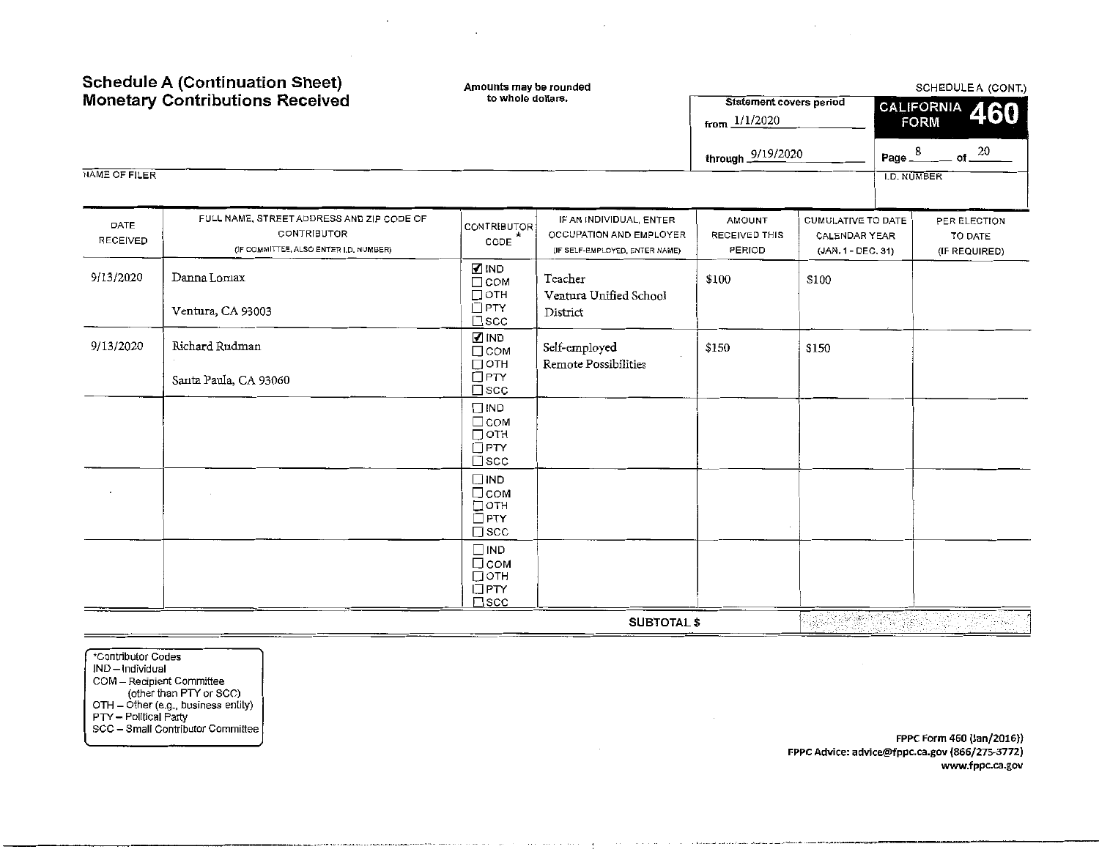|                         | <b>Schedule A (Continuation Sheet)</b><br><b>Monetary Contributions Received</b>                          | Amounts may be rounded<br>to whole dollars.                                   |                                                                                      | <b>Statement covers period</b><br>from $1/1/2020$ |                                                           |                    | SCHEDULE A (CONT.)<br>CALIFORNIA<br>460<br><b>FORM</b> |  |  |
|-------------------------|-----------------------------------------------------------------------------------------------------------|-------------------------------------------------------------------------------|--------------------------------------------------------------------------------------|---------------------------------------------------|-----------------------------------------------------------|--------------------|--------------------------------------------------------|--|--|
|                         |                                                                                                           |                                                                               |                                                                                      | through 9/19/2020                                 |                                                           | Page $3$           | of $20$                                                |  |  |
| NAME OF FILER           |                                                                                                           |                                                                               |                                                                                      |                                                   |                                                           | <b>I.D. NUMBER</b> |                                                        |  |  |
| DATE<br><b>RECEIVED</b> | FULL NAME, STREET ADDRESS AND ZIP CODE OF<br><b>CONTRIBUTOR</b><br>(IF COMMITTEE, ALSO ENTER I.D. NUMBER) | <b>CONTRIBUTOR</b><br>CODE                                                    | IF AN INDIVIDUAL, ENTER<br>OCCUPATION AND EMPLOYER<br>(IF SELF-EMPLOYED, ENTER NAME) | <b>AMOUNT</b><br><b>RECEIVED THIS</b><br>PERIOD   | CUMULATIVE TO DATE<br>CALENDAR YEAR<br>(JAN. 1 - DEC. 31) |                    | PER ELECTION<br>TO DATE<br>(IF REQUIRED)               |  |  |
| 9/13/2020               | Danna Lomax<br>Ventura, CA 93003                                                                          | $\n  IND\n$<br>$\Box$ COM<br>$\Box$ OTH<br>$\Box$ PTY<br>$\square$ scc        | Teacher<br>Ventura Unified School<br>District                                        | \$100                                             | \$100                                                     |                    |                                                        |  |  |
| 9/13/2020               | Richard Rudman<br>Santa Paula, CA 93060                                                                   | $\blacksquare$ IND<br>$\Box$ COM<br>$\Box$ OTH<br>$\Box$ PTY<br>$\square$ scc | Self-employed<br>Remote Possibilities                                                | \$150                                             | \$150                                                     |                    |                                                        |  |  |
|                         |                                                                                                           | $\Box$ IND<br>$\Box$ COM<br>□отн<br>$\Box$ PTY<br>$\square$ scc               |                                                                                      |                                                   |                                                           |                    |                                                        |  |  |
|                         |                                                                                                           | $\Box$ IND<br>□сом<br>□отн<br>$\Box$ PTY<br>$\square$ scc                     |                                                                                      |                                                   |                                                           |                    |                                                        |  |  |
|                         |                                                                                                           | $\Box$ IND<br>□сом<br>□ОТН<br>$\Box$ PTY<br>$\square$ scc                     |                                                                                      |                                                   |                                                           |                    |                                                        |  |  |
|                         |                                                                                                           |                                                                               | <b>SUBTOTAL \$</b>                                                                   |                                                   | 经编译性                                                      |                    |                                                        |  |  |

 $\sim$ 

 $\sim 100$ 

 $\sim$ 

\*Contributor Codes JND- lndiVidual COM - Recipient Committee (other than PTY or SCC) OTH - Other (e.g., business entity) PTY - Political Party SCC - Small Contributor Committee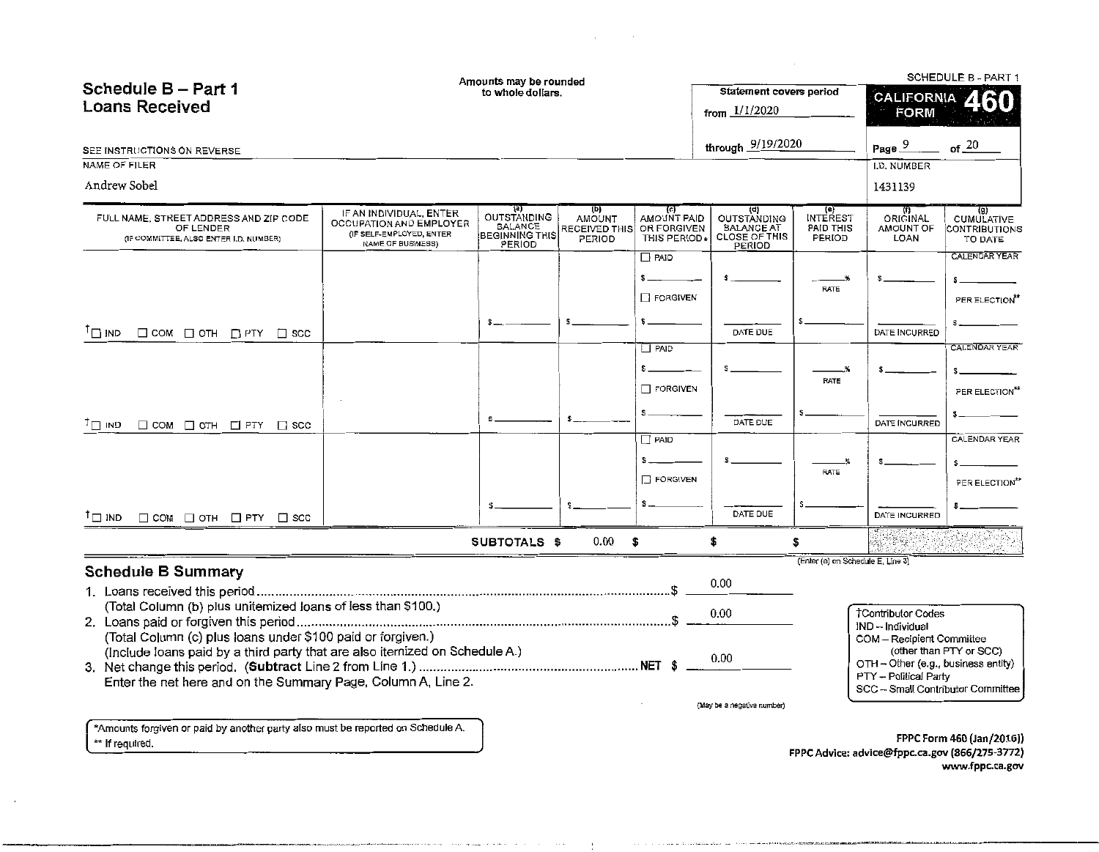|                                                                                                                                            |                                                                                                     | Amounts may be rounded                                           |                                                 |                                                   |                                                                                  |                                       |                                                                  | SCHEDULE B - PART 1                                  |
|--------------------------------------------------------------------------------------------------------------------------------------------|-----------------------------------------------------------------------------------------------------|------------------------------------------------------------------|-------------------------------------------------|---------------------------------------------------|----------------------------------------------------------------------------------|---------------------------------------|------------------------------------------------------------------|------------------------------------------------------|
| Schedule B - Part 1                                                                                                                        |                                                                                                     | to whole dollars.                                                |                                                 |                                                   | Statement covers period                                                          |                                       | <b>CALIFORNIA</b>                                                |                                                      |
| <b>Loans Received</b>                                                                                                                      |                                                                                                     |                                                                  |                                                 |                                                   | from $1/1/2020$                                                                  |                                       | <b>FORM</b>                                                      |                                                      |
| SEE INSTRUCTIONS ON REVERSE                                                                                                                |                                                                                                     |                                                                  |                                                 |                                                   | through 9/19/2020                                                                |                                       | Page 9                                                           | of 20                                                |
| <b>NAME OF FILER</b>                                                                                                                       |                                                                                                     |                                                                  |                                                 |                                                   |                                                                                  |                                       | I.D. NUMBER                                                      |                                                      |
| Andrew Sobel                                                                                                                               |                                                                                                     |                                                                  |                                                 |                                                   |                                                                                  |                                       | 1431139                                                          |                                                      |
| FULL NAME, STREET ADDRESS AND ZIP CODE<br>OF LENDER<br>(IF COMMITTEE, ALSO ENTER I.D. NUMBER)                                              | IF AN INDIVIDUAL, ENTER<br>OCCUPATION AND EMPLOYER<br>(IF SELF-EMPLOYED, ENTER<br>NAME OF BUSINESS) | [a]<br>OUTSTANDING<br>BALANCE<br><b>BEGINNING THIS</b><br>PERIOD | (D)<br>AMOUNT<br><b>RECEIVED THIS</b><br>PERIOD | (c)<br>AMOUNT PAID<br>OR FORGIVEN<br>THIS PERIOD: | (d)<br><b>OUTSTANDING</b><br><b>BALANCE AT</b><br><b>CLOSE OF THIS</b><br>PERIOD | e)<br>INTEREST<br>PAID THIS<br>PERIOD | ORIGINAL<br>AMOUNT OF<br>LOAN                                    | (g)<br><b>CUMULATIVE</b><br>CONTRIBUTIONS<br>TO DATE |
|                                                                                                                                            |                                                                                                     |                                                                  |                                                 | $\Box$ PAID<br>$s =$                              |                                                                                  |                                       |                                                                  | CALENDAR YEAR<br>$\mathbf{s}$                        |
|                                                                                                                                            |                                                                                                     |                                                                  |                                                 | FORGIVEN                                          |                                                                                  | <b>RATE</b>                           |                                                                  | PER ELECTION"                                        |
| $\mathsf{I}_{\square}$ ind<br>$\Box$ COM $\Box$ OTH $\Box$ PTY $\Box$ SCC                                                                  |                                                                                                     |                                                                  |                                                 |                                                   | DATE DUE                                                                         |                                       | DATE INCURRED                                                    |                                                      |
|                                                                                                                                            |                                                                                                     |                                                                  |                                                 | $\Box$ PAID                                       |                                                                                  |                                       |                                                                  | <b>CALENDAR YEAR</b>                                 |
|                                                                                                                                            |                                                                                                     |                                                                  |                                                 | \$_                                               |                                                                                  | RATE                                  |                                                                  |                                                      |
|                                                                                                                                            |                                                                                                     |                                                                  |                                                 | <b>FORGIVEN</b>                                   |                                                                                  |                                       |                                                                  | PER ELECTION <sup>**</sup>                           |
| $\Box$ COM $\Box$ OTH $\Box$ PTY $\Box$ SCC<br>פאו רד <sup>ד</sup>                                                                         |                                                                                                     | S.                                                               | s.                                              | \$.                                               | DATE DUE                                                                         |                                       | DATE INCURRED                                                    |                                                      |
|                                                                                                                                            |                                                                                                     |                                                                  |                                                 | $P$ AID                                           |                                                                                  |                                       |                                                                  | CALENDAR YEAR                                        |
|                                                                                                                                            |                                                                                                     |                                                                  |                                                 | $\Box$ FORGIVEN                                   |                                                                                  | RATE                                  |                                                                  | PER ELECTION**                                       |
|                                                                                                                                            |                                                                                                     |                                                                  |                                                 |                                                   | DATE DUE                                                                         |                                       | DATE INCURRED                                                    |                                                      |
| $\Box$ COM $\Box$ OTH $\Box$ PTY $\Box$ SCC<br>$\mathsf{I} \sqcap \mathsf{IND}$                                                            |                                                                                                     |                                                                  |                                                 |                                                   |                                                                                  |                                       |                                                                  |                                                      |
|                                                                                                                                            |                                                                                                     | SUBTOTALS \$                                                     | 0.00                                            | S.                                                | \$                                                                               | \$                                    |                                                                  |                                                      |
| <b>Schedule B Summary</b>                                                                                                                  |                                                                                                     |                                                                  |                                                 |                                                   | 0.00                                                                             | (Enter (e) on Schedule E, Line 3)     |                                                                  |                                                      |
| (Total Column (b) plus uniternized loans of less than \$100.)                                                                              |                                                                                                     |                                                                  |                                                 |                                                   | 0.00                                                                             |                                       | <b>TContributor Codes</b><br>IND -- Individual                   |                                                      |
| (Total Column (c) plus loans under \$100 paid or forgiven.)<br>(Include loans paid by a third party that are also itemized on Schedule A.) |                                                                                                     |                                                                  |                                                 |                                                   | 0.00                                                                             |                                       | COM - Recipient Committee<br>OTH - Other (e.g., business entity) | (other than PTY or SCC)                              |
| Enter the net here and on the Summary Page, Column A, Line 2.                                                                              |                                                                                                     |                                                                  |                                                 |                                                   |                                                                                  |                                       | PTY - Political Party<br>SCC -- Small Contributor Committee      |                                                      |
|                                                                                                                                            |                                                                                                     |                                                                  |                                                 |                                                   | (May be a negative number)                                                       |                                       |                                                                  |                                                      |
| *Amounts forgiven or paid by another party also must be reported on Schedule A.                                                            |                                                                                                     |                                                                  |                                                 |                                                   |                                                                                  |                                       |                                                                  |                                                      |

 $\Delta \sim 10^{11}$  mass  $^{-1}$ 

\*\* If required.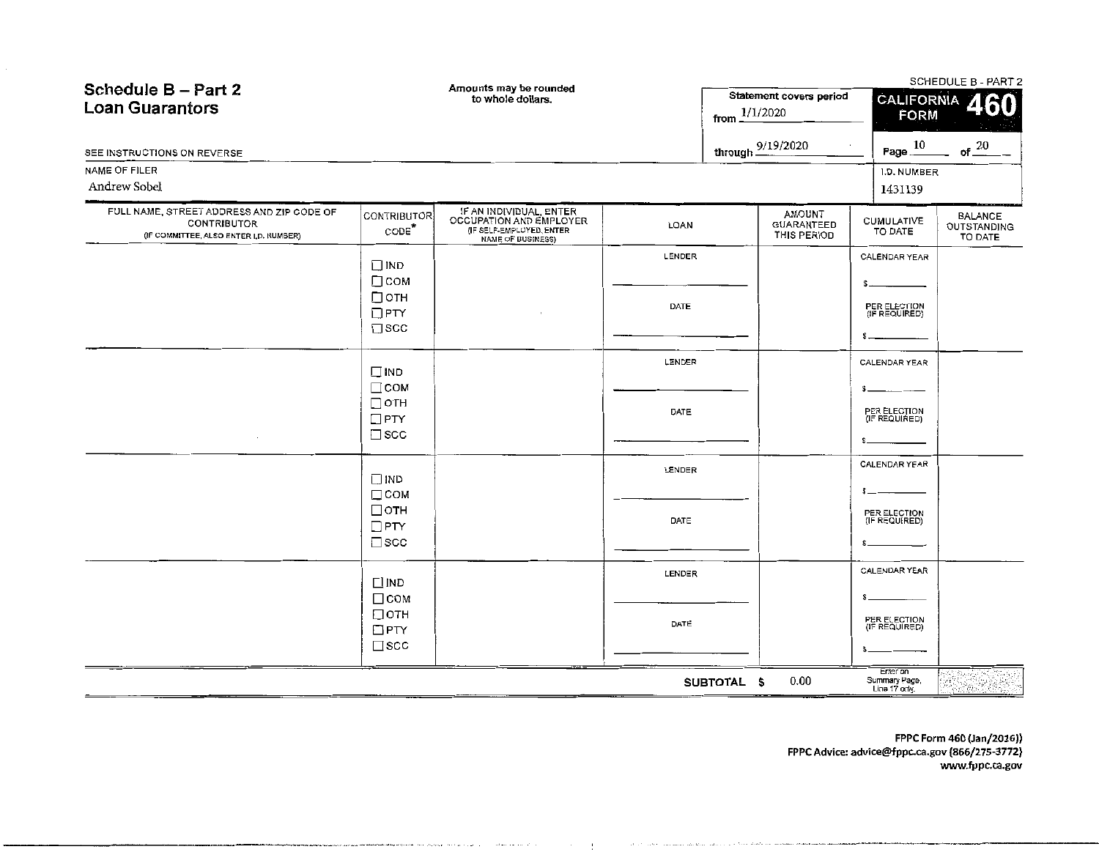| Schedule B - Part 2<br><b>Loan Guarantors</b>                                                      |                                                         | Amounts may be rounded<br>to whole dollars.                                                         |        | Statement covers period<br>1/1/2020<br>from. | <b>CALIFORNIA</b><br>FORM                  | SCHEDULE B - PART 2<br>60                |  |
|----------------------------------------------------------------------------------------------------|---------------------------------------------------------|-----------------------------------------------------------------------------------------------------|--------|----------------------------------------------|--------------------------------------------|------------------------------------------|--|
| SEE INSTRUCTIONS ON REVERSE                                                                        |                                                         |                                                                                                     |        | through 9/19/2020                            | Page $\underline{\hspace{1em}10}$          | of $20$                                  |  |
| NAME OF FILER<br>Andrew Sobel                                                                      |                                                         |                                                                                                     |        |                                              | I.D. NUMBER<br>1431139                     |                                          |  |
| FULL NAME, STREET ADDRESS AND ZIP CODE OF<br>CONTRIBUTOR<br>(IF COMMITTEE, ALSO ENTER I,D, NUMBER) | CONTRIBUTOR<br>CODE <sup>*</sup>                        | IF AN INDIVIDUAL, ENTER<br>OCCUPATION AND EMPLOYER<br>(IF SELF-EMPLOYED, ENTER<br>NAME OF BUSINESS) | LOAN   | AMOUNT<br>GUARANTEED<br>THIS PERIOD          | CUMULATIVE<br>TO DATE                      | <b>BALANCE</b><br>OUTSTANDING<br>TO DATE |  |
|                                                                                                    | $\Box$ IND                                              |                                                                                                     | LENDER |                                              | CALENDAR YEAR                              |                                          |  |
|                                                                                                    | $\Box$ COM<br>$\Box$ OTH<br>$\Box$ PTY<br>$\square$ scc |                                                                                                     | DATE   |                                              | PER ELECTION<br>(IF REQUIRED)              |                                          |  |
|                                                                                                    | $\square$ IND                                           |                                                                                                     | LENDER |                                              | CALENDAR YEAR                              |                                          |  |
|                                                                                                    | $\Box$ COM<br>$\Box$ OTH<br>$\Box$ PTY<br>$\Box$ SCC    |                                                                                                     | DATE   |                                              | PER ELECTION<br>(IF REQUIRED)              |                                          |  |
|                                                                                                    | $\Box$ IND                                              |                                                                                                     | LENDER |                                              | <b>CALENDAR YEAR</b>                       |                                          |  |
|                                                                                                    | $\Box$ COM<br>$\Box$ OTH<br>$\Box$ PTY<br>$\square$ scc |                                                                                                     | DATE   |                                              | PER ELECTION<br>(IF REQUIRED)              |                                          |  |
|                                                                                                    | $\Box$ IND                                              |                                                                                                     | LENDER |                                              | CALENDAR YEAR                              |                                          |  |
|                                                                                                    | $\Box$ COM<br>□отн<br>$\Box$ PTY<br>$\square$ scc       |                                                                                                     | DATE   |                                              | PER ELECTION<br>(IF REQUIRED)              |                                          |  |
|                                                                                                    |                                                         |                                                                                                     |        | 0.00<br>SUBTOTAL \$                          | Enter on<br>Summary Page,<br>Line 17 only. | 18.45 MB                                 |  |

\_\_\_\_\_\_\_\_\_\_\_\_\_\_\_\_ ... \_ ............. .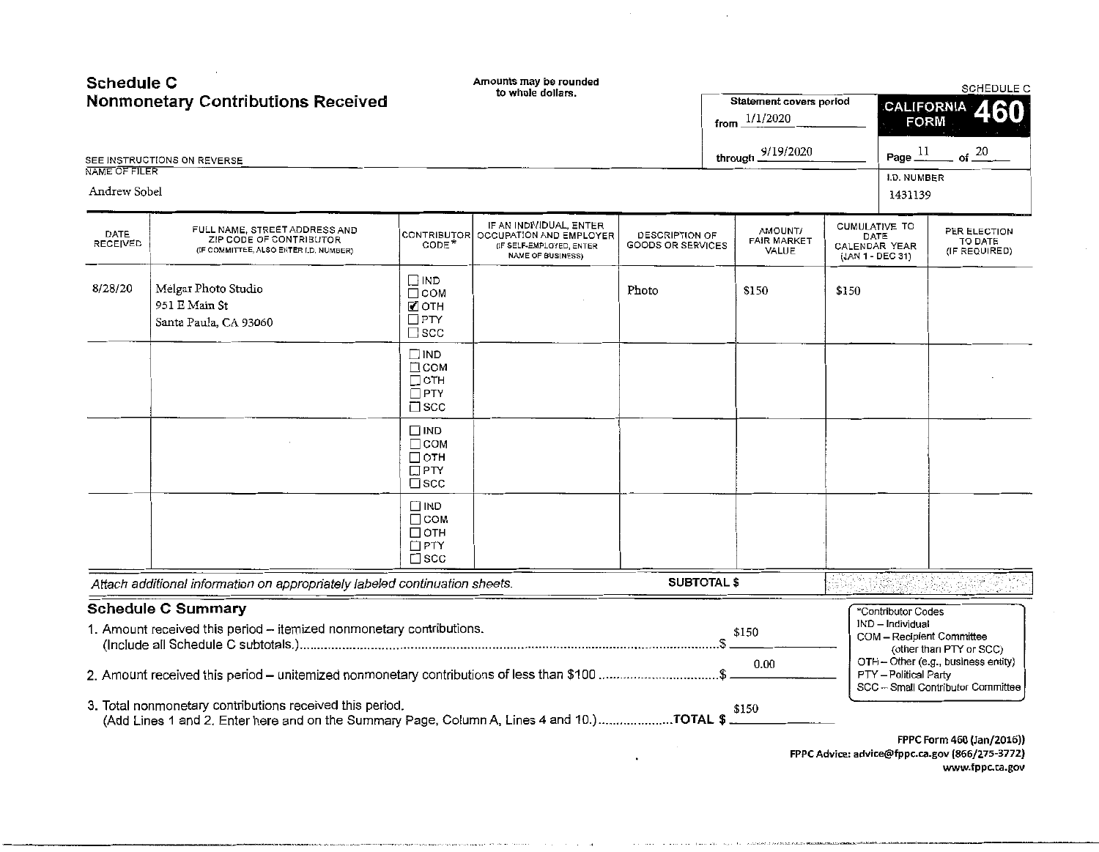| <b>Schedule C</b> | <b>Nonmonetary Contributions Received</b>                                                                                                              | Amounts may be rounded<br>to whole dollars.                                 |                                                                                                                        |                                     | Statement covers period                       |       | <b>SCHEDULE C</b><br>CALIFORNIA                            |                                                                           |  |
|-------------------|--------------------------------------------------------------------------------------------------------------------------------------------------------|-----------------------------------------------------------------------------|------------------------------------------------------------------------------------------------------------------------|-------------------------------------|-----------------------------------------------|-------|------------------------------------------------------------|---------------------------------------------------------------------------|--|
|                   |                                                                                                                                                        |                                                                             |                                                                                                                        |                                     | from $1/1/2020$                               |       | <b>FORM</b>                                                | 460                                                                       |  |
|                   | SEE INSTRUCTIONS ON REVERSE                                                                                                                            |                                                                             |                                                                                                                        |                                     | through 9/19/2020                             |       | Page $11$                                                  | $-$ of $\frac{20}{}$                                                      |  |
| NAME OF FILER     |                                                                                                                                                        |                                                                             |                                                                                                                        |                                     |                                               |       | I.D. NUMBER                                                |                                                                           |  |
| Andrew Sobel      |                                                                                                                                                        |                                                                             |                                                                                                                        |                                     |                                               |       | 1431139                                                    |                                                                           |  |
| DATE<br>RECEIVED  | FULL NAME, STREET ADDRESS AND<br>ZIP CODE OF CONTRIBUTOR<br>(IF COMMITTEE, ALSO ENTER I.D. NUMBER)                                                     | CODE <sup>*</sup>                                                           | IF AN INDIVIDUAL, ENTER<br>CONTRIBUTOR OCCUPATION AND EMPLOYER<br>(IF SELF-EMPLOYED, ENTER<br><b>NAME OF BUSINESS)</b> | DESCRIPTION OF<br>GOODS OR SERVICES | <b>NTAUOMA</b><br><b>FAIR MARKET</b><br>VALUE |       | CUMULATIVE TO<br>DATE<br>CALENDAR YEAR<br>(JAN 1 - DEC 31) | PER ELECTION<br>TO DATE<br>(IF REQUIRED)                                  |  |
| 8/28/20           | Melgar Photo Studio<br>951 E Main St<br>Santa Paula, CA 93060                                                                                          | ם או<br>$\Box$ COM<br><b>ZOTH</b><br>$\Box$ PTY<br>$\square$ scc            |                                                                                                                        | Photo                               | \$150                                         | \$150 |                                                            |                                                                           |  |
|                   |                                                                                                                                                        | $\square$ IND<br>□ сом<br>$\Box$ oth<br>$\Box$ PTY<br>$\square$ scc         |                                                                                                                        |                                     |                                               |       |                                                            |                                                                           |  |
|                   |                                                                                                                                                        | $\square$ IND<br>$\Box$ COM<br>$\Box$ oth<br>$\square$ PTY<br>$\square$ scc |                                                                                                                        |                                     |                                               |       |                                                            |                                                                           |  |
|                   |                                                                                                                                                        | $\Box$ IND<br>$\Box$ COM<br>$\Box$ OTH<br>$\Box$ PTY<br>$\square$ scc       |                                                                                                                        |                                     |                                               |       |                                                            |                                                                           |  |
|                   | Attach additional information on appropriately labeled continuation sheets.                                                                            |                                                                             |                                                                                                                        | <b>SUBTOTAL \$</b>                  |                                               |       |                                                            |                                                                           |  |
|                   | <b>Schedule C Summary</b><br>1. Amount received this period - itemized nonmonetary contributions.                                                      |                                                                             |                                                                                                                        |                                     | \$150                                         |       | *Contributor Codes<br>IND - Individual                     | COM - Recipient Committee<br>(other than PTY or SCC)                      |  |
|                   |                                                                                                                                                        |                                                                             |                                                                                                                        |                                     | 0.00                                          |       | PTY - Political Party                                      | OTH - Other (e.g., business entity)<br>SCC -- Small Contributor Committee |  |
|                   | 3. Total nonmonetary contributions received this period.<br>(Add Lines 1 and 2. Enter here and on the Summary Page, Column A, Lines 4 and 10.)TOTAL \$ |                                                                             |                                                                                                                        |                                     | \$150                                         |       |                                                            | FPPC Form 460 (Jan/2016))                                                 |  |

 $\sim$   $\sim$ 

---------------------·---·--

FPPC Advice: advice@fppc.ca.gov {866/275-3772) www.fppc.ca.gov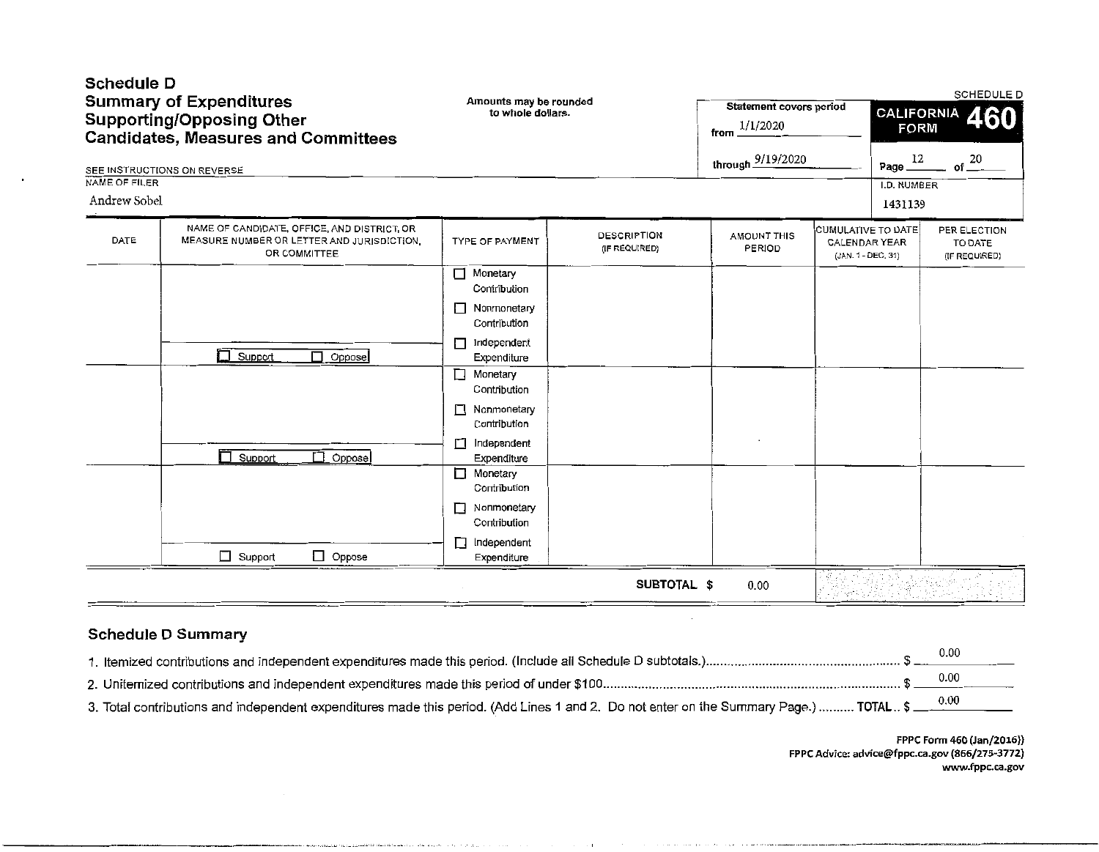| Schedule D    | <b>Summary of Expenditures</b><br><b>Supporting/Opposing Other</b><br><b>Candidates, Measures and Committees</b><br>SEE INSTRUCTIONS ON REVERSE | Amounts may be rounded<br>to whole dollars. |                                     |                              | Statement covers period<br>through 9/19/2020                     | SCHEDULE D<br><b>CALIFORNIA</b><br>460<br><b>FORM</b><br>Page $12$<br>of $20$ |                                          |  |
|---------------|-------------------------------------------------------------------------------------------------------------------------------------------------|---------------------------------------------|-------------------------------------|------------------------------|------------------------------------------------------------------|-------------------------------------------------------------------------------|------------------------------------------|--|
| NAME OF FILER |                                                                                                                                                 |                                             |                                     |                              |                                                                  | I.D. NUMBER                                                                   |                                          |  |
| Andrew Sobel  |                                                                                                                                                 |                                             |                                     |                              |                                                                  | 1431139                                                                       |                                          |  |
| DATE          | NAME OF CANDIDATE, OFFICE, AND DISTRICT, OR<br>MEASURE NUMBER OR LETTER AND JURISDICTION.<br>OR COMMITTEE                                       | <b>TYPE OF PAYMENT</b>                      | <b>DESCRIPTION</b><br>(IF REQUIRED) | <b>AMOUNT THIS</b><br>PERIOD | CUMULATIVE TO DATE<br><b>CALENDAR YEAR</b><br>(JAN. 1 - DEC. 31) |                                                                               | PER ELECTION<br>TO DATE<br>(IF REQUIRED) |  |
|               |                                                                                                                                                 | Monetary<br>$\Box$<br>Contribution          |                                     |                              |                                                                  |                                                                               |                                          |  |
|               |                                                                                                                                                 | Nonmonetary<br>Contribution                 |                                     |                              |                                                                  |                                                                               |                                          |  |
|               | Support<br>$\Box$ Oppose                                                                                                                        | Independent<br>П<br>Expenditure             |                                     |                              |                                                                  |                                                                               |                                          |  |
|               |                                                                                                                                                 | Monetary<br>$\Box$<br>Contribution          |                                     |                              |                                                                  |                                                                               |                                          |  |
|               |                                                                                                                                                 | П<br>Nonmonetary<br>Contribution            |                                     |                              |                                                                  |                                                                               |                                          |  |
|               | $\overline{\Box}$ Support<br>П.<br>Oppose                                                                                                       | Independent<br>$\Box$<br>Expenditure        |                                     |                              |                                                                  |                                                                               |                                          |  |
|               |                                                                                                                                                 | Monetary<br>Contribution                    |                                     |                              |                                                                  |                                                                               |                                          |  |
|               |                                                                                                                                                 | Nonmonetary<br>П<br>Contribution            |                                     |                              |                                                                  |                                                                               |                                          |  |
|               | $\Box$ Oppose<br>$\Box$ Support                                                                                                                 | Independent<br>LI<br>Expenditure            |                                     |                              |                                                                  |                                                                               |                                          |  |
|               |                                                                                                                                                 |                                             | SUBTOTAL \$                         | 0.00                         |                                                                  |                                                                               |                                          |  |

# Schedule D Summary

|                                                                                                                                                 | 0.00        |
|-------------------------------------------------------------------------------------------------------------------------------------------------|-------------|
|                                                                                                                                                 | <b>U.UU</b> |
| 3. Total contributions and independent expenditures made this period. (Add Lines 1 and 2. Do not enter on the Summary Page.)  TOTAL \$ ____0.00 |             |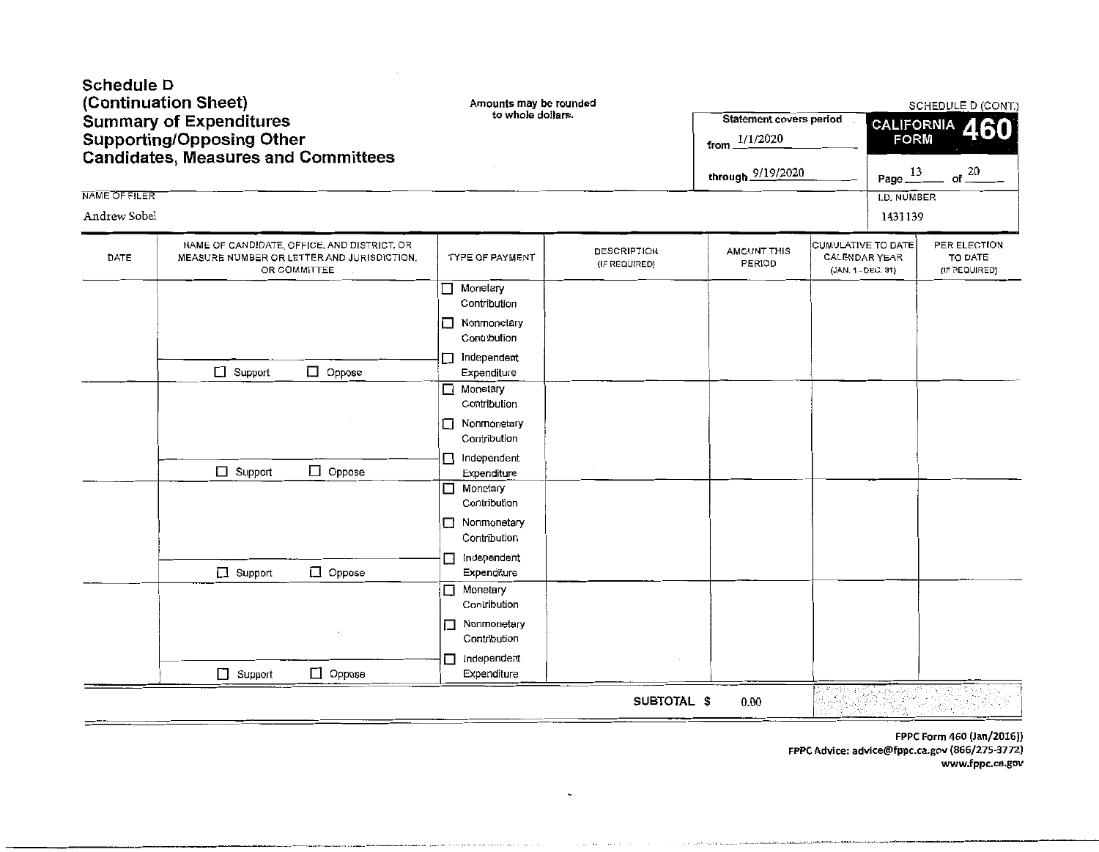| Schedule D<br>NAME OF FILER<br>Andrew Sobel | (Continuation Sheet)<br><b>Summary of Expenditures</b><br><b>Supporting/Opposing Other</b><br><b>Candidates, Measures and Committees</b> | Amounts may be rounded<br>to whole dollars.                                                                                                                                                                                                                                                                                                            |                                     | <b>Statement covers period</b><br>1/1/2020<br>from.<br>through 9/19/2020 |                                                                  | <b>FORM</b><br>Page $\frac{13}{2}$<br>I.D. NUMBER<br>1431139 | SCHEDULE D (CONT.)<br>CALIFORNIA 460<br>of $\frac{20}{1}$ |
|---------------------------------------------|------------------------------------------------------------------------------------------------------------------------------------------|--------------------------------------------------------------------------------------------------------------------------------------------------------------------------------------------------------------------------------------------------------------------------------------------------------------------------------------------------------|-------------------------------------|--------------------------------------------------------------------------|------------------------------------------------------------------|--------------------------------------------------------------|-----------------------------------------------------------|
| DATE                                        | NAME OF CANDIDATE, OFFICE, AND DISTRICT, OR<br>MEASURE NUMBER OR LETTER AND JURISDICTION,<br>OR COMMITTEE                                | TYPE OF PAYMENT                                                                                                                                                                                                                                                                                                                                        | <b>DESCRIPTION</b><br>(IF REQUIRED) | <b>AMOUNT THIS</b><br>PERIOD                                             | CUMULATIVE TO DATE<br><b>CALENDAR YEAR</b><br>(JAN. 1 - DEC. 31) |                                                              | PER ELECTION<br>TO DATE<br>(IF REQUIRED)                  |
|                                             | $\Box$ Support<br>$\Box$ Oppose<br>$\Box$ Oppose<br>$\Box$ Support<br>Oppose<br>$\Box$ Support                                           | $\Box$ Monetary<br>Contribution<br>Nonmonetary<br>П<br>Contribution<br>Independent<br>п<br>Expenditure<br>$\Box$ Monetary<br>Contribution<br>Nonmonetary<br>Contribution<br>$\Box$ Independent<br>Expenditure<br>Monetary<br>□<br>Contribution<br>Nonmonetary<br>⊔<br>Contribution<br>Independent<br>$\Box$<br>Expenditure<br>Monetary<br>Contribution |                                     |                                                                          |                                                                  |                                                              |                                                           |
|                                             | $\Box$ Support<br>$\Box$ Oppose                                                                                                          | Nonmonetary<br>Contribution<br>Independent<br>П<br>Expenditure                                                                                                                                                                                                                                                                                         |                                     |                                                                          |                                                                  |                                                              |                                                           |
|                                             |                                                                                                                                          |                                                                                                                                                                                                                                                                                                                                                        | SUBTOTAL \$                         | 0.00                                                                     |                                                                  |                                                              |                                                           |

---···-·----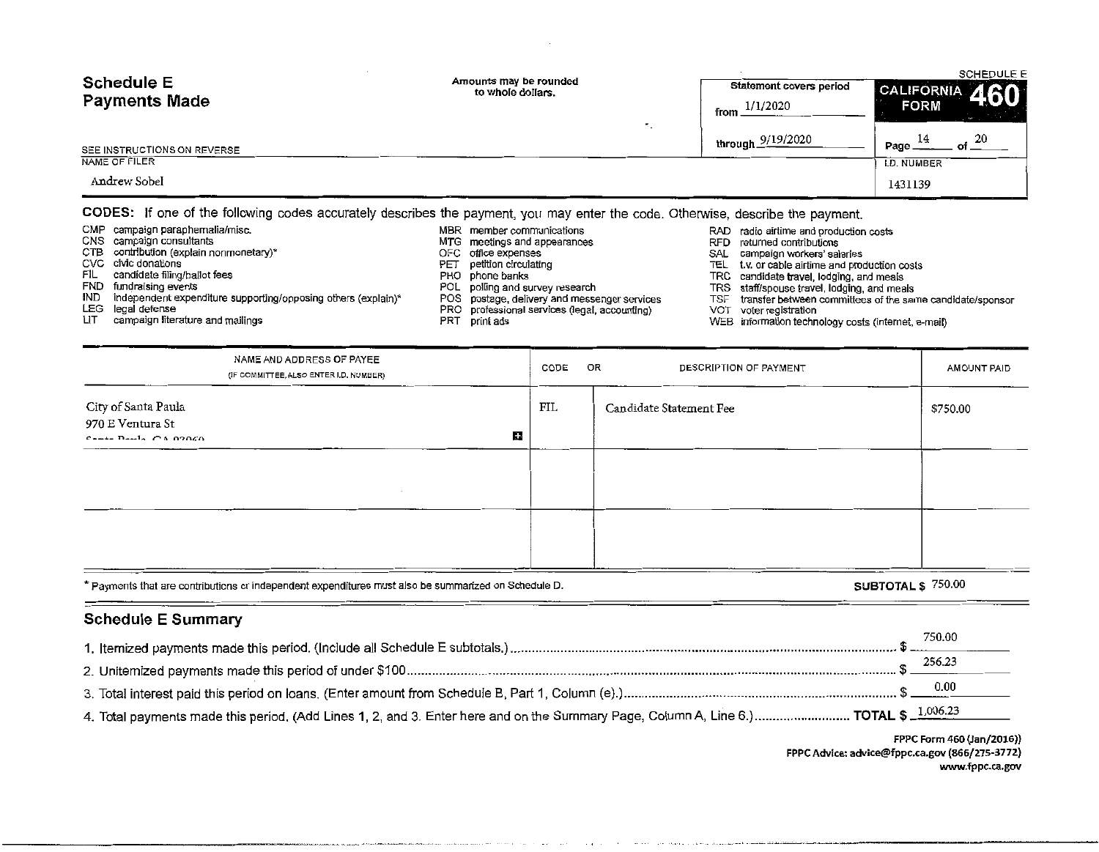| <b>Schedule E</b><br><b>Payments Made</b><br>SEE INSTRUCTIONS ON REVERSE | Amounts may be rounded<br>to whole dollars.                                                                                                                                                                                   | Statement covers period<br>1/1/2020<br>from<br>through 9/19/2020 | <b>SCHEDULE E</b><br><b>CALIFORNIA</b><br><b>FORM</b><br>of $20$<br>14<br>Page_ |
|--------------------------------------------------------------------------|-------------------------------------------------------------------------------------------------------------------------------------------------------------------------------------------------------------------------------|------------------------------------------------------------------|---------------------------------------------------------------------------------|
| NAME OF FILER                                                            |                                                                                                                                                                                                                               |                                                                  | <b>I.D. NUMBER</b>                                                              |
| Andrew Sobel                                                             |                                                                                                                                                                                                                               |                                                                  | 1431139                                                                         |
|                                                                          | AABEA. If you of the fallowing you be accounted about the account of the contraction of a Atlantic and the film of the contract of the state of the state of the state of the state of the state of the state of the state of |                                                                  |                                                                                 |

#### CODES: If one of the following codes accurately describes the payment, you may enter the code. Otherwise, describe the payment.

- 
- 
- CTB contribution (explain nonmonetary)\* <br>CVC civic donations <br>PET petition circulating
	-
	-
	-
- IND independent expenditure supporting/opposing others (explain)\* POS postage, delivery and messenger services TSF transfer between committees of the same candidate registration PRO professional services (legal, accounting
- LEG legal defense<br>LIT campaign literature and mailings PRT professional services (legal, accounting)<br>PRT print ads
	-
- CMP campaign paraphernalia/misc. <br>CMS campaign consultants (COS) CMS campaign consultants and appearances and appearances and RFD returned contributions
	- MTG meetings and appearances **EXECO MTG meetings and appearances** RFD returned contributions <br>CFC office expenses CFC office expenses
		-
- even civic donations of the controller controller petition circulating the controller controller text or cable airtime and production costs PHO phone banks and meals and meals and meals and meals of the candidate bayer and
- FIL candidate filing/ballot fees end the state of the phone banks TRC candidate travel, lodging, and meals<br>PHO phone banks TRC candidate travel, lodging, and meals and meals are problem to the polling and meals the po
	-
	- FOL polling and survey research events POL TRS staff/spouse travel, lodging, and meals<br>POS postage, delivery and messenger services TSF transfer between committees of the same candidate/sponsor
		-
		- WEB information technology costs (internet, e-mail)

|                                                                                 | NAME AND ADDRESS OF PAYEE<br>(IF COMMITTEE, ALSO ENTER I.D. NUMBER)                                                                                                                                                                                                                                                                                      |    | CODE | OR<br>DESCRIPTION OF PAYMENT | AMOUNT PAID       |
|---------------------------------------------------------------------------------|----------------------------------------------------------------------------------------------------------------------------------------------------------------------------------------------------------------------------------------------------------------------------------------------------------------------------------------------------------|----|------|------------------------------|-------------------|
| City of Santa Paula<br>970 E Ventura St<br>$C_{n+1}$ $D_{n+1}$ $C_A$ $O(0.006)$ |                                                                                                                                                                                                                                                                                                                                                          | Η, | FIL  | Candidate Statement Fee      | \$750.00          |
|                                                                                 |                                                                                                                                                                                                                                                                                                                                                          |    |      |                              |                   |
|                                                                                 |                                                                                                                                                                                                                                                                                                                                                          |    |      |                              |                   |
|                                                                                 | $k_{\rm B}$ , $\ldots$ , $k_{\rm B}$ , $\ldots$ , $\ldots$ , $\ldots$ , $\ldots$ , $\ldots$ , $\ldots$ , $\ldots$ , $\ldots$ , $\ldots$ , $\ldots$ , $\ldots$ , $\ldots$ , $\ldots$ , $\ldots$ , $\ldots$ , $\ldots$ , $\ldots$ , $\ldots$ , $\ldots$ , $\ldots$ , $\ldots$ , $\ldots$ , $\ldots$ , $\ldots$ , $\ldots$ , $\ldots$ , $\ldots$ , $\ldots$ |    |      |                              | CIDTOTA1 & 750.00 |

| * Payments that are contributions or independent expenditures must also be summarized on Schedule D. | SUBTOTAL \$ /50.00 |
|------------------------------------------------------------------------------------------------------|--------------------|
|------------------------------------------------------------------------------------------------------|--------------------|

.<br>المالي بما أحديث الكافئة المطابقة، في الكافئ المالي التي يوما الموجود بعد المالية.

## Schedule E Summary

|                                                                                                                                      | 750.00 |
|--------------------------------------------------------------------------------------------------------------------------------------|--------|
|                                                                                                                                      | 256.23 |
|                                                                                                                                      |        |
|                                                                                                                                      |        |
| 4. Total payments made this period. (Add Lines 1, 2, and 3. Enter here and on the Summary Page, Column A, Line 6.) TOTAL \$ 1,006.23 |        |

FPPC Form 460 (Jan/2016)) FPPC Advice: advice@fppc.ca.gov (866/275-3772) www.fppc.ca.gov

\_\_\_\_\_ , \_\_\_\_\_\_\_\_\_\_\_\_\_\_\_\_\_ \_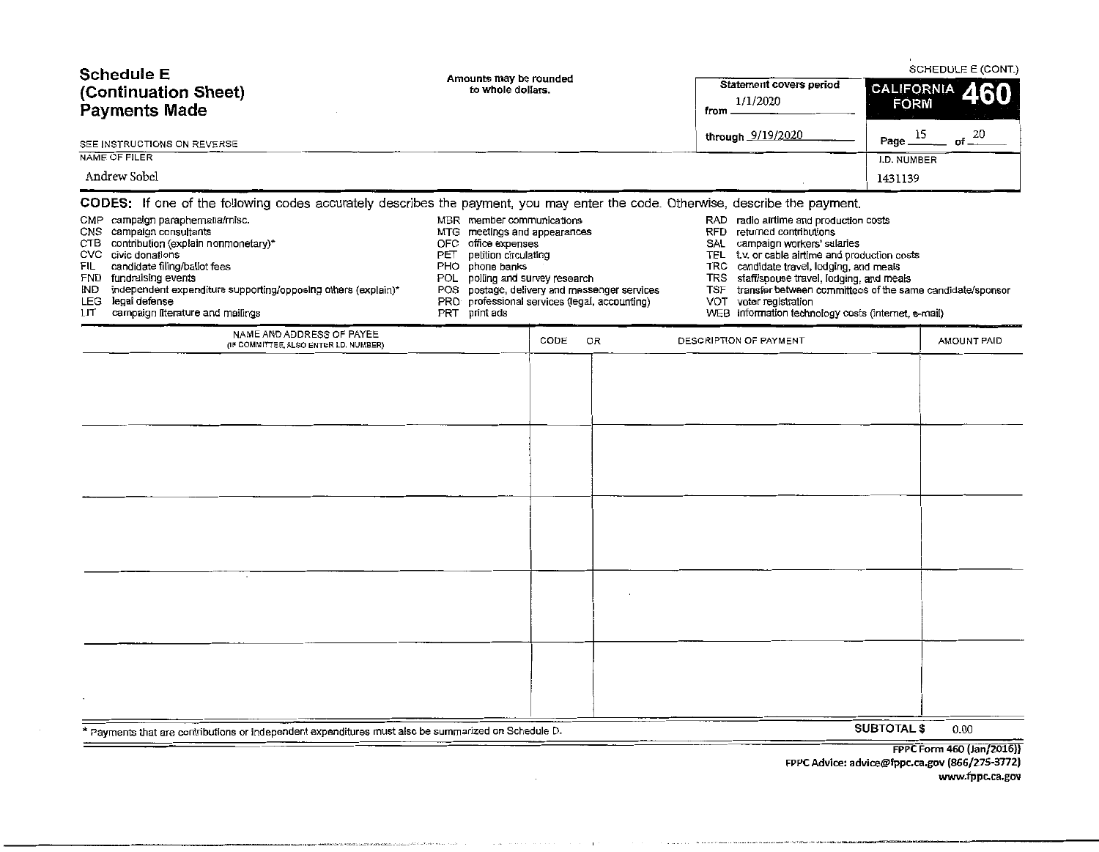| <b>Schedule E</b><br>(Continuation Sheet)<br><b>Payments Made</b><br>SEE INSTRUCTIONS ON REVERSE<br>NAME OF FILER                                                                                                                                                                                                                                                                                                                                                                                                                                                                           | Amounts may be rounded<br>to whole dollars.                                                                                                                                                               | Statement covers period<br>1/1/2020<br>from _<br>through 9/19/2020                                                                                                                                                                                                                                                                                                 | SCHEDULE E (CONT.)<br>CALIFORNIA<br><b>FORM</b><br>15<br>of $20$<br>Page |
|---------------------------------------------------------------------------------------------------------------------------------------------------------------------------------------------------------------------------------------------------------------------------------------------------------------------------------------------------------------------------------------------------------------------------------------------------------------------------------------------------------------------------------------------------------------------------------------------|-----------------------------------------------------------------------------------------------------------------------------------------------------------------------------------------------------------|--------------------------------------------------------------------------------------------------------------------------------------------------------------------------------------------------------------------------------------------------------------------------------------------------------------------------------------------------------------------|--------------------------------------------------------------------------|
| Andrew Sobel                                                                                                                                                                                                                                                                                                                                                                                                                                                                                                                                                                                |                                                                                                                                                                                                           |                                                                                                                                                                                                                                                                                                                                                                    | I.D. NUMBER<br>1431139                                                   |
| CODES: If one of the following codes accurately describes the payment, you may enter the code. Otherwise, describe the payment.<br>CMP campaign paraphemalia/misc.<br>CNS campaign consultants<br>CTB contribution (explain nonmonetary)*<br>OFC office expenses<br>CVC civic donations<br>PET<br>candidate filing/ballot fees<br>FIL<br><b>PHO</b><br>phone banks<br>FND fundraising events<br>POL.<br>independent expenditure supporting/opposing others (explain)*<br>IND<br>POS<br>LEG legal defense<br>PRO <sup>-</sup><br>campaign literature and mailings<br>PRT<br>print ads<br>LIТ | MBR member communications<br>MTG meetings and appearances<br>petition circulating<br>polling and survey research<br>postage, delivery and messenger services<br>professional services (legal, accounting) | RAD radio airtime and production costs<br>RFD returned contributions<br>campaign workers' salaries<br>SAL<br>t.v. or cable airtime and production costs<br>TEL<br>TRC candidate travel, lodging, and meals<br><b>TRS</b><br>staff/spouse travel, lodging, and meals<br><b>TSF</b><br>VOT voter registration<br>WEB information technology costs (internet, e-mail) | transfer between committees of the same candidate/sponsor                |
| NAME AND ADDRESS OF PAYEE<br>(IF COMMITTEE, ALSO ENTER I.D. NUMBER)<br>$\cdot$                                                                                                                                                                                                                                                                                                                                                                                                                                                                                                              | CODE<br>OR                                                                                                                                                                                                | DESCRIPTION OF PAYMENT                                                                                                                                                                                                                                                                                                                                             | AMOUNT PAID                                                              |
| * Payments that are contributions or independent expenditures must also be summarized on Schedule D.                                                                                                                                                                                                                                                                                                                                                                                                                                                                                        |                                                                                                                                                                                                           |                                                                                                                                                                                                                                                                                                                                                                    | <b>SUBTOTAL \$</b><br>0.00                                               |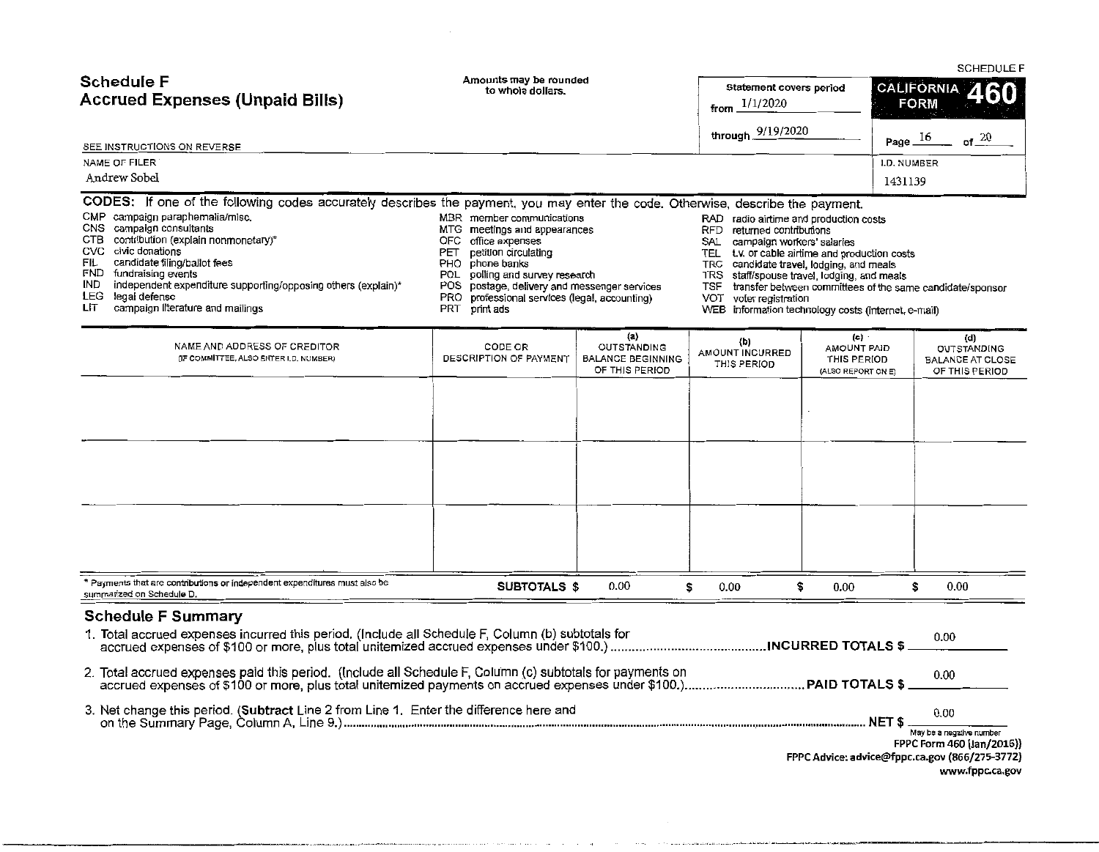|                                                                                                                                 |                                             |                                                   | --------                       |  |  |  |
|---------------------------------------------------------------------------------------------------------------------------------|---------------------------------------------|---------------------------------------------------|--------------------------------|--|--|--|
| Schedule F<br><b>Accrued Expenses (Unpaid Bills)</b>                                                                            | Amounts may be rounded<br>to whole dollars. | Statement covers period<br>1/1/2020<br>from.      | CALIFORNIA 460<br>FORM         |  |  |  |
| SEE INSTRUCTIONS ON REVERSE                                                                                                     |                                             | through 9/19/2020                                 | Page $16$<br>of $\frac{20}{5}$ |  |  |  |
| NAME OF FILER                                                                                                                   |                                             |                                                   | I.D. NUMBER                    |  |  |  |
| Andrew Sobel                                                                                                                    |                                             |                                                   | 1431139                        |  |  |  |
|                                                                                                                                 |                                             |                                                   |                                |  |  |  |
| CODES: If one of the following codes accurately describes the payment, you may enter the code. Otherwise, describe the payment. |                                             |                                                   |                                |  |  |  |
| CMP campaign paraphemalia/misc.                                                                                                 | MBR member communications                   | RAD radio airtime and production costs            |                                |  |  |  |
| campaign consultants<br>CNS                                                                                                     | MTG meetings and appearances                | returned contributions<br>RFD.                    |                                |  |  |  |
| contribution (explain nonmonetary)*<br>CTB                                                                                      | OFC office expenses                         | SAL<br>campaign workers' salaries                 |                                |  |  |  |
| CVC civic donations                                                                                                             | petition circulating<br>PET                 | TEL<br>t.v. or cable airtime and production costs |                                |  |  |  |
| FIL<br>candidate filing/ballot fees                                                                                             | PHO<br>phone banks                          | TRC candidate travel, lodging, and meals          |                                |  |  |  |
|                                                                                                                                 |                                             |                                                   |                                |  |  |  |

- 
- 
- FND fundraising events expentive supporting/opposing others (explain)\* POL polling and survey research TRS staff/spouse travel, lodging, and meals<br>IND independent expenditure supporting/opposing others (explain)\* POS posta

--------------------·---·····-·""'"'''···-·--· .. ··-·-·· .. ··

- 
- 
- IND independent expenditure supporting/opposing others (explain)\* POS postage, delivery and messenger services TSF transfer between committees of the same candidate/sponsor<br>LEG legal defense of the same candidate/sponsor P
- 
- LEG legal defense end mailings PRO professional services (legal, accounting) PRO professional services (legal, accounting) PRT campaign literature and mailings
- 
- 
- -
- 
- WEB information technology costs (internet, e-mail)

| NAME AND ADDRESS OF CREDITOR<br>(IF COMMITTEE, ALSO ENTER I.D. NUMBER)                                  | CODE OR<br>DESCRIPTION OF PAYMENT | (a)<br>OUTSTANDING<br><b>BALANCE BEGINNING</b><br>OF THIS PERIOD | (b)<br>AMOUNT INCURRED<br>THIS PERIOD | (c)<br>AMOUNT PAID<br>THIS PERIOD<br>(ALSO REPORT ON E) | (d)<br>OUTSTANDING<br><b>BALANCE AT CLOSE</b><br>OF THIS PERIOD |
|---------------------------------------------------------------------------------------------------------|-----------------------------------|------------------------------------------------------------------|---------------------------------------|---------------------------------------------------------|-----------------------------------------------------------------|
|                                                                                                         |                                   |                                                                  |                                       |                                                         |                                                                 |
|                                                                                                         |                                   |                                                                  |                                       |                                                         |                                                                 |
|                                                                                                         |                                   |                                                                  |                                       |                                                         |                                                                 |
|                                                                                                         |                                   |                                                                  |                                       |                                                         |                                                                 |
| * Payments that are contributions or independent expenditures must also be<br>summarized on Schedule D. | SUBTOTALS \$                      | 0.00                                                             | 0.00<br>\$                            | 0.00<br>S                                               | $0.00\,$<br>s                                                   |
| <b>Schedule F Summary</b>                                                                               |                                   |                                                                  |                                       |                                                         |                                                                 |

- 1. Total accrued expenses incurred this period. (Include all Schedule F, Column (b) subtotals for **of the order of our order of the of our order of the of our order of our order of our order of our order of our order of ou** accrued expenses of \$100 or more, plus total unitemized accrued expenses under \$100.) ............................................ INCURRED TOTALS\$ \_\_\_ · \_\_\_ \_
- 2. Total accrued expenses paid this period. (Include all Schedule F, Column (c) subtotals for payments on o.oo accrued expenses of \$100 or more, plus total unitemized payments on accrued expenses under \$100.) .................................. PAID TOTALS \$ \_\_\_\_\_ \_

| l. Enter the difference here and<br>3. Net change this period. (Subtract Line 2 from Line 1. |                        | 0.01 |
|----------------------------------------------------------------------------------------------|------------------------|------|
| on the Summary Page, Column A,<br>ine 9.                                                     | <b>AIF</b><br><br><br> |      |

|  | $\mathbf{u}$ .           |  |  |  |  |
|--|--------------------------|--|--|--|--|
|  | May be a negative number |  |  |  |  |

FPPC Form 460 (Jan/2016)) FPPC Advice: advice@fppc.ca.gov (866/275-3772) www.fppc.ca.gov

SCHEDULE F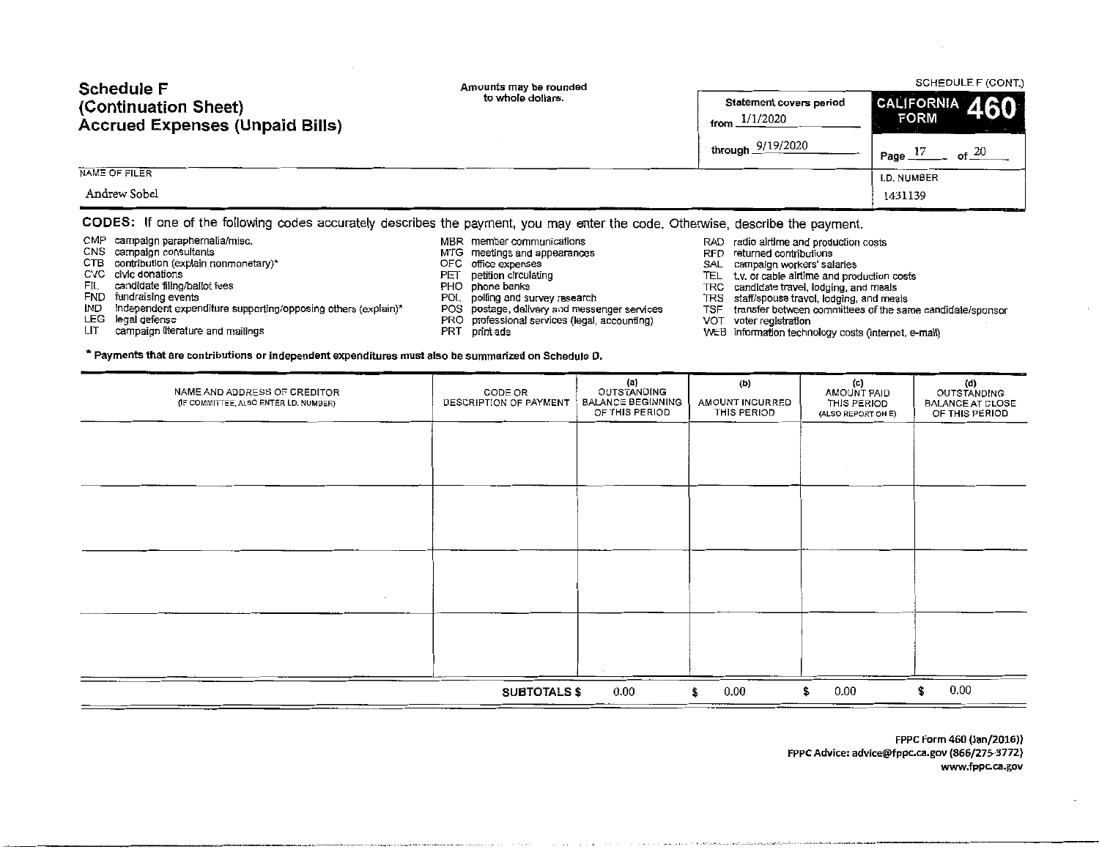| <b>Schedule F</b>                                                                                                               | Amounts may be rounded | SCHEDULE F (CONT.)                         |                                 |  |  |
|---------------------------------------------------------------------------------------------------------------------------------|------------------------|--------------------------------------------|---------------------------------|--|--|
| (Continuation Sheet)<br><b>Accrued Expenses (Unpaid Bills)</b>                                                                  | to whole dollars.      | Statement covers period<br>from $1/1/2020$ | CALIFORNIA 460<br><b>FORM</b>   |  |  |
|                                                                                                                                 |                        | through $9/19/2020$                        | Page $17$<br>$\mathsf{f}$ at 20 |  |  |
| NAME OF FILER                                                                                                                   |                        |                                            | I.D. NUMBER                     |  |  |
| Andrew Sobel                                                                                                                    |                        |                                            | 1431139                         |  |  |
| CODES: If one of the following codes accurately describes the payment, you may enter the code. Otherwise, describe the payment. |                        |                                            |                                 |  |  |

CMP campaign paraphernalia/misc.

- CNS campaign consultants
- CTB contribution (explain nonmonetary)\*
- eve civic donations
- FIL candidate filing/ballot fees
- FND fundraising events
- IND independent expenditure supporting/opposing others (explain)\*

\* Payments that are contributions or independent expenditures must also be summarized on Schedule D.

- LEG legal defense
- LIT campaign literature and mailings

MBR member communications

- MTG meetings and appearances
- OFC office expenses
- PET petition circulating
- PHO phone banks
- POL polling and survey research
- POS postage, delivery and messenger services
- PRO professional services (legal, accounting)
- PRT print ads
- RAD radio airtime and production costs RFD returned contributions
- 
- SAL campaign workers' salaries
- TEL t.v. or cable airtime and production costs
- 
- 
- TRC candidate travel. lodging, and meals TRS staff/spouse travel, lodging, and meals TSF transfer between committees of the same candidate/sponsor VOT voter registration
- 
- WEB information technology costs (internet, e-mail)

| NAME AND ADDRESS OF CREDITOR<br>(IF COMMITTEE, ALSO ENTER I.D. NUMBER) | CODE OR<br>DESCRIPTION OF PAYMENT | $\{a\}$<br>OUTSTANDING<br><b>BALANCE BEGINNING</b><br>OF THIS PERIOD | (b)<br>AMOUNT INCURRED<br>THIS PERIOD | (c)<br>AMOUNT PAID<br>THIS PERIOD<br>(ALSO REPORT ON E) | (d)<br>OUTSTANDING<br><b>BALANCE AT CLOSE</b><br>OF THIS PERIOD |
|------------------------------------------------------------------------|-----------------------------------|----------------------------------------------------------------------|---------------------------------------|---------------------------------------------------------|-----------------------------------------------------------------|
|                                                                        |                                   |                                                                      |                                       |                                                         |                                                                 |
|                                                                        |                                   |                                                                      |                                       |                                                         |                                                                 |
|                                                                        |                                   |                                                                      |                                       |                                                         |                                                                 |
|                                                                        |                                   |                                                                      |                                       |                                                         |                                                                 |
|                                                                        |                                   |                                                                      |                                       |                                                         |                                                                 |
|                                                                        | <b>SUBTOTALS \$</b>               | $0.00\,$                                                             | 0.00<br>\$                            | 0.00<br>\$                                              | 0.00<br>\$                                                      |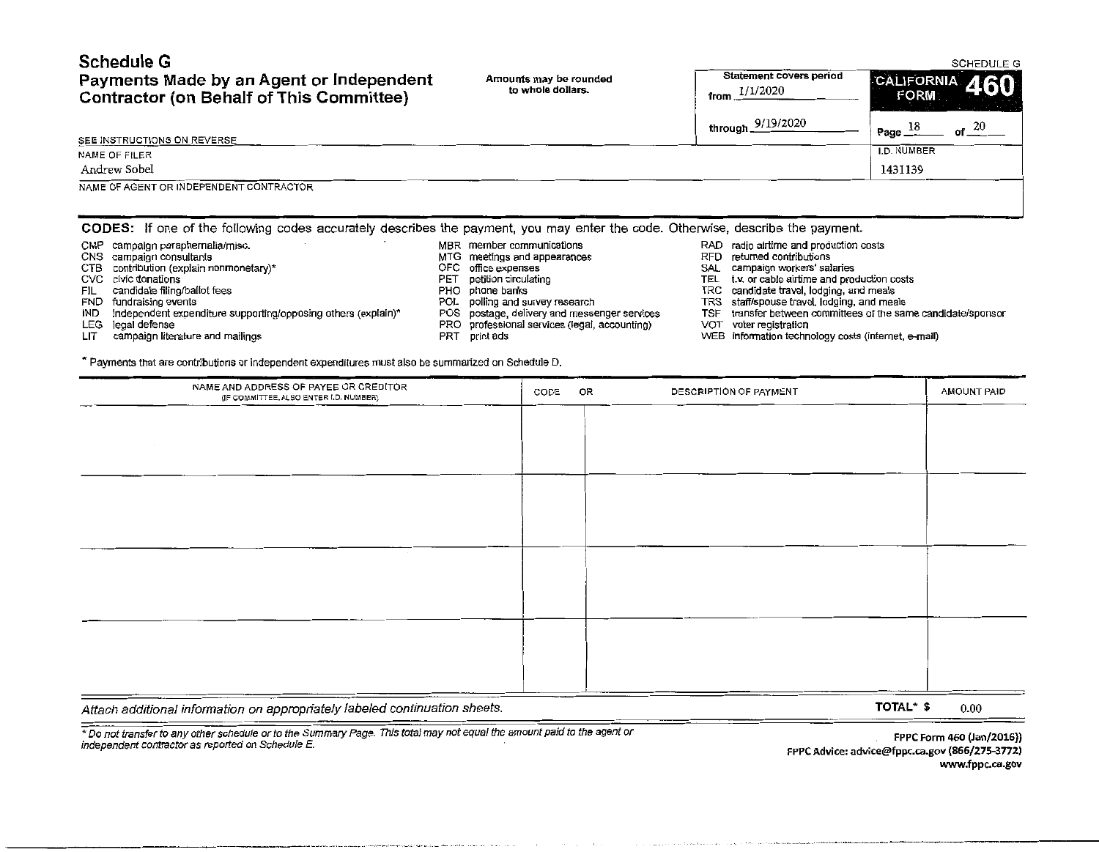| <b>Schedule G</b>                               |                        |                         | SCHEDULE G     |
|-------------------------------------------------|------------------------|-------------------------|----------------|
| Payments Made by an Agent or Independent        | Amounts may be rounded | Statement covers period | CALIFORNIA 460 |
| <b>Contractor (on Behalf of This Committee)</b> | to whole dollars.      | 1/1/2020<br>from        | <b>FORM:</b>   |

| Payments Made by an Agent or Independent<br><b>Contractor (on Behalf of This Committee)</b>                                     | Amounts may be rounded<br>to whole dollars.               | <b>Statement covers period</b><br>from $1/1/2020$                    | CALIFORNIA 460<br><b>FORM</b>  |
|---------------------------------------------------------------------------------------------------------------------------------|-----------------------------------------------------------|----------------------------------------------------------------------|--------------------------------|
|                                                                                                                                 |                                                           | through 9/19/2020                                                    | of $20$<br>Page $\frac{18}{1}$ |
| SEE INSTRUCTIONS ON REVERSE                                                                                                     |                                                           |                                                                      | I.D. NUMBER                    |
| NAME OF FILER                                                                                                                   |                                                           |                                                                      |                                |
| Andrew Sobel                                                                                                                    |                                                           |                                                                      | 1431139                        |
| NAME OF AGENT OR INDEPENDENT CONTRACTOR                                                                                         |                                                           |                                                                      |                                |
| CODES: If one of the following codes accurately describes the payment, you may enter the code. Otherwise, describe the payment. |                                                           |                                                                      |                                |
| campaign paraphernalia/misc.<br>CMP<br>CNS campaign consultants                                                                 | MBR member communications<br>MTG meetings and appearances | RAD radio airtime and production costs<br>RFD returned contributions |                                |

- CTB contribution (explain nonmonetary)\* 
CTC office expenses<br>
CVC civic donations (explain nonmonetary)\* 
CVC civic donations and process 
CVC civic donations and processes
- 
- 
- 
- -
- IND independent expenditure supporting/opposing others (explain)\* POS postage, delivery and messenger services TSF transfer between committees of the same candidate registration committees of the same candidate registratio
- LEG legal defense<br>LEG legal defense<br>LIT campaign literature and mailings PRT print ads PRT print ads PRT print ads
- 
- 
- CVC civic donations<br>
CVC civic donations Performance of the petition circulating TEL t.v. or cable airtime and production costs<br>
PHO phone banks TRC candidate travel, lodging, and meals
- FIL candidate filing/ballot fees examples and the phone banks PHO phone banks TRC candidate travel, lodging, and meals<br>FND fundraising events FND fundrations and meals FND polling and survey research TRS staff/spouse trave
- FND fundraising events<br>FND fundraising events events exporting/opposing others (explain)\* POS postage, delivery and messenger services TSF transfer between committees of the same candidate/sponsor
	-
	- WEB information technology costs (internet, e-mail)

\*Payments that are contributions or independent expenditures must also be summarized on Schedule D.

| NAME AND ADDRESS OF PAYEE OR CREDITOR<br>(IF COMMITTEE, ALSO ENTER I.D. NUMBER) | CODE | OR | DESCRIPTION OF PAYMENT | AMOUNT PAID |
|---------------------------------------------------------------------------------|------|----|------------------------|-------------|
|                                                                                 |      |    |                        |             |
|                                                                                 |      |    |                        |             |
|                                                                                 |      |    |                        |             |
|                                                                                 |      |    |                        |             |
|                                                                                 |      |    |                        |             |
|                                                                                 |      |    |                        |             |
| <b>COLLEGE</b>                                                                  |      |    |                        |             |
|                                                                                 |      |    |                        |             |
|                                                                                 |      |    |                        |             |
|                                                                                 |      |    |                        |             |
|                                                                                 |      |    |                        |             |
|                                                                                 |      |    |                        |             |
| _____                                                                           |      |    |                        |             |

Attach additional information on appropriately labeled continuation sheets.

TOTAL\* $$ 0.00$ 

\*Do not transfer to any other schedufe or to the Summary Page. This total may not equal the amount paid to the agent or independent contractor as reported on Schedule E.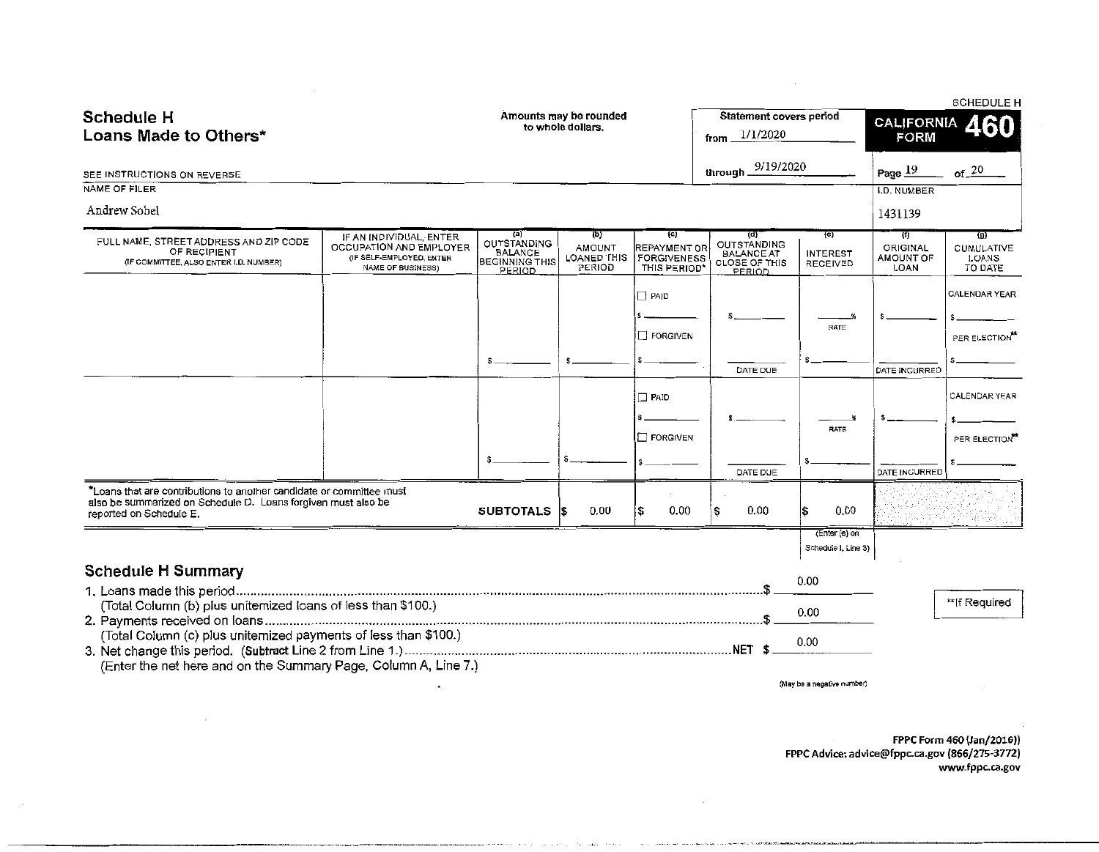|                                                                                                  |                                                                                |                                                               |                                             |                                                  |                                                                 |                                      |                              | <b>SCHEDULE H</b>          |
|--------------------------------------------------------------------------------------------------|--------------------------------------------------------------------------------|---------------------------------------------------------------|---------------------------------------------|--------------------------------------------------|-----------------------------------------------------------------|--------------------------------------|------------------------------|----------------------------|
| <b>Schedule H</b>                                                                                |                                                                                |                                                               | Amounts may be rounded<br>to whole dollars. |                                                  | Statement covers period                                         |                                      | <b>CALIFORNIA</b>            | ARO                        |
| Loans Made to Others*                                                                            |                                                                                |                                                               |                                             |                                                  | 1/1/2020<br>from                                                |                                      | <b>FORM</b>                  |                            |
|                                                                                                  |                                                                                |                                                               |                                             |                                                  | through 9/19/2020                                               |                                      | Page $19$                    | of 20                      |
| SEE INSTRUCTIONS ON REVERSE<br>NAME OF FILER                                                     |                                                                                |                                                               |                                             |                                                  |                                                                 |                                      | <b>I.D. NUMBER</b>           |                            |
| Andrew Sobel                                                                                     |                                                                                |                                                               |                                             |                                                  |                                                                 |                                      |                              |                            |
|                                                                                                  |                                                                                |                                                               |                                             |                                                  |                                                                 |                                      | 1431139                      |                            |
| FULL NAME, STREET ADDRESS AND ZIP CODE<br>OF RECIPIENT<br>(IF COMMITTEE, ALSO ENTER I.D. NUMBER) | IF AN INDIVIDUAL, ENTER<br>OCCUPATION AND EMPLOYER<br>(IF SELF-EMPLOYED, ENTER | (a)<br>OUTSTANDING<br><b>BALANCE</b><br><b>BEGINNING THIS</b> | (b)<br>AMOUNT<br>LOANED THIS                | (c)<br><b>REPAYMENT OR</b><br><b>FORGIVENESS</b> | (d)<br>OUTSTANDING<br><b>BALANCE AT</b><br><b>CLOSE OF THIS</b> | {e)<br><b>INTEREST</b><br>RECEIVED   | (f)<br>ORIGINAL<br>AMOUNT OF | (g)<br>CUMULATIVE<br>LOANS |
|                                                                                                  | <b>NAME OF BUSINESS)</b>                                                       | PERIOD                                                        | PERIOD                                      | THIS PERIOD*                                     | PERIOD                                                          |                                      | LOAN                         | TO DATE                    |
|                                                                                                  |                                                                                |                                                               |                                             | $\Box$ PAID                                      |                                                                 |                                      |                              | <b>CALENDAR YEAR</b>       |
|                                                                                                  |                                                                                |                                                               |                                             |                                                  |                                                                 | RATE                                 |                              |                            |
|                                                                                                  |                                                                                |                                                               |                                             | FORGIVEN                                         |                                                                 |                                      |                              | PER ELECTION"              |
|                                                                                                  |                                                                                |                                                               |                                             |                                                  | DATE DUE                                                        |                                      | DATE INCURRED                |                            |
|                                                                                                  |                                                                                |                                                               |                                             |                                                  |                                                                 |                                      |                              |                            |
|                                                                                                  |                                                                                |                                                               |                                             | $\Box$ PAID                                      |                                                                 |                                      |                              | CALENDAR YEAR              |
|                                                                                                  |                                                                                |                                                               |                                             |                                                  |                                                                 | <b>RATE</b>                          |                              |                            |
|                                                                                                  |                                                                                |                                                               |                                             | <b>T FORGIVEN</b>                                |                                                                 |                                      |                              | PER ELECTION"              |
|                                                                                                  |                                                                                | -S                                                            |                                             |                                                  | DATE DUE                                                        |                                      | DATE INCURRED                |                            |
| *Loans that are contributions to another candidate or committee must                             |                                                                                |                                                               |                                             |                                                  |                                                                 |                                      |                              |                            |
| also be summarized on Schedule D. Loans forgiven must also be<br>reported on Schedule E.         |                                                                                | <b>SUBTOTALS</b>                                              | 0.00<br>l\$                                 | 0.00                                             | 0.00                                                            | 0.00<br>l\$                          |                              |                            |
|                                                                                                  |                                                                                |                                                               |                                             |                                                  |                                                                 | (Enter (e) on<br>Schedule I, Line 3) |                              |                            |
| <b>Schedule H Summary</b>                                                                        |                                                                                |                                                               |                                             |                                                  |                                                                 | 0.00                                 |                              |                            |
| (Total Column (b) plus unitemized loans of less than \$100.)                                     |                                                                                |                                                               |                                             |                                                  |                                                                 |                                      |                              | **If Required              |
|                                                                                                  |                                                                                |                                                               |                                             |                                                  |                                                                 | 0.00                                 |                              |                            |
| (Total Column (c) plus unitemized payments of less than \$100.)                                  |                                                                                |                                                               |                                             |                                                  | . NET                                                           | 0.00                                 |                              |                            |
| (Enter the net here and on the Summary Page, Column A, Line 7.)                                  |                                                                                |                                                               |                                             |                                                  |                                                                 |                                      |                              |                            |
|                                                                                                  |                                                                                |                                                               |                                             |                                                  |                                                                 | (May be a negative number)           |                              |                            |

------------------····--····· ................ -.. ·--····

 $\sim 10^7$ 

**FPPC Form 460 {Jan/2016)) FPPC Advice: advice@fppc.ca.gov (866/275-3772) www.fppc.ca.gov** 

 $\mathbb{Z}^2$